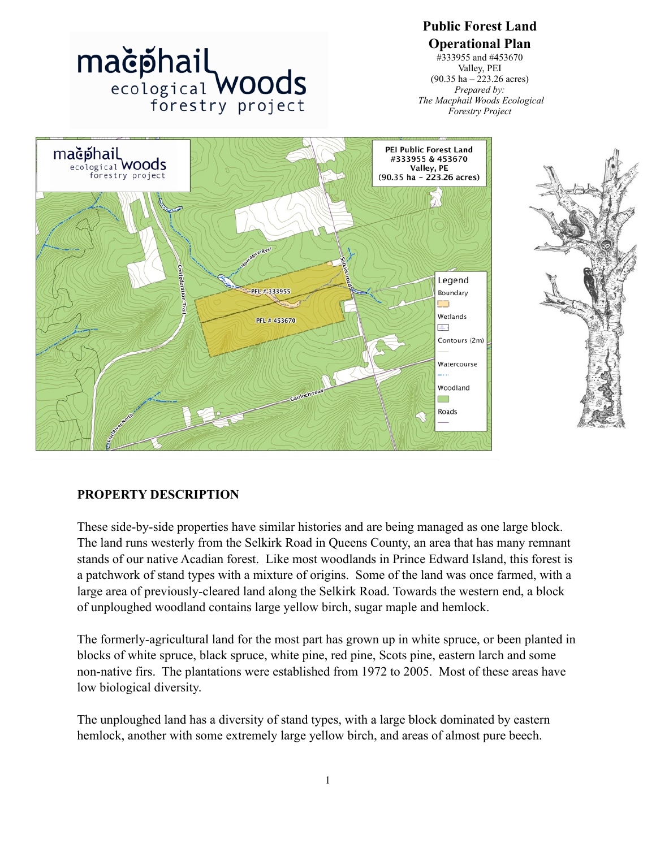

**Public Forest Land Operational Plan** #333955 and #453670 Valley, PEI (90.35 ha – 223.26 acres)

# **PROPERTY DESCRIPTION**

These side-by-side properties have similar histories and are being managed as one large block. The land runs westerly from the Selkirk Road in Queens County, an area that has many remnant stands of our native Acadian forest. Like most woodlands in Prince Edward Island, this forest is a patchwork of stand types with a mixture of origins. Some of the land was once farmed, with a large area of previously-cleared land along the Selkirk Road. Towards the western end, a block of unploughed woodland contains large yellow birch, sugar maple and hemlock.

The formerly-agricultural land for the most part has grown up in white spruce, or been planted in blocks of white spruce, black spruce, white pine, red pine, Scots pine, eastern larch and some non-native firs. The plantations were established from 1972 to 2005. Most of these areas have low biological diversity.

The unploughed land has a diversity of stand types, with a large block dominated by eastern hemlock, another with some extremely large yellow birch, and areas of almost pure beech.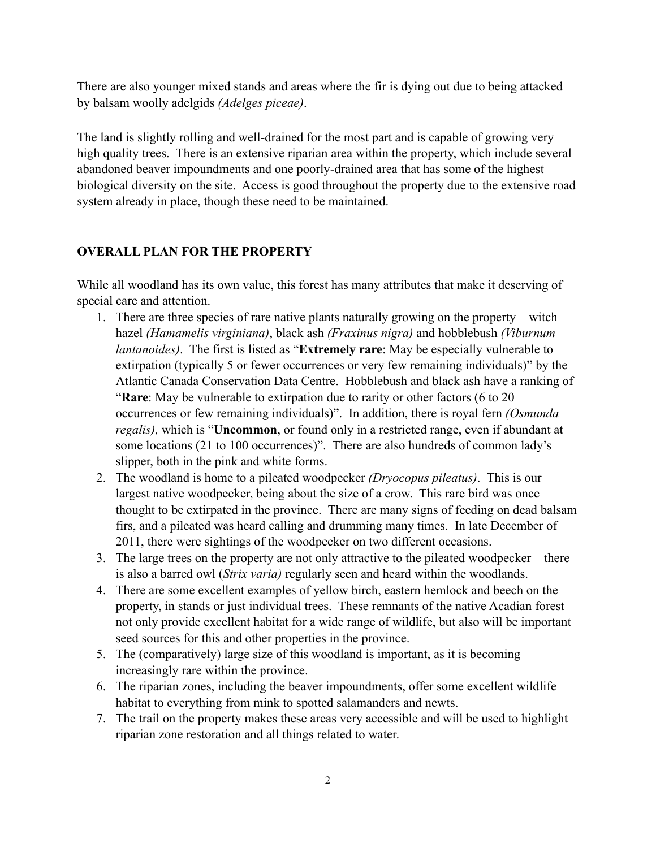There are also younger mixed stands and areas where the fir is dying out due to being attacked by balsam woolly adelgids *(Adelges piceae)*.

The land is slightly rolling and well-drained for the most part and is capable of growing very high quality trees. There is an extensive riparian area within the property, which include several abandoned beaver impoundments and one poorly-drained area that has some of the highest biological diversity on the site. Access is good throughout the property due to the extensive road system already in place, though these need to be maintained.

### **OVERALL PLAN FOR THE PROPERTY**

While all woodland has its own value, this forest has many attributes that make it deserving of special care and attention.

- 1. There are three species of rare native plants naturally growing on the property witch hazel *(Hamamelis virginiana)*, black ash *(Fraxinus nigra)* and hobblebush *(Viburnum lantanoides)*. The first is listed as "**Extremely rare**: May be especially vulnerable to extirpation (typically 5 or fewer occurrences or very few remaining individuals)" by the Atlantic Canada Conservation Data Centre. Hobblebush and black ash have a ranking of "**Rare**: May be vulnerable to extirpation due to rarity or other factors (6 to 20 occurrences or few remaining individuals)". In addition, there is royal fern *(Osmunda regalis),* which is "**Uncommon**, or found only in a restricted range, even if abundant at some locations (21 to 100 occurrences)". There are also hundreds of common lady's slipper, both in the pink and white forms.
- 2. The woodland is home to a pileated woodpecker *(Dryocopus pileatus)*. This is our largest native woodpecker, being about the size of a crow. This rare bird was once thought to be extirpated in the province. There are many signs of feeding on dead balsam firs, and a pileated was heard calling and drumming many times. In late December of 2011, there were sightings of the woodpecker on two different occasions.
- 3. The large trees on the property are not only attractive to the pileated woodpecker there is also a barred owl (*Strix varia)* regularly seen and heard within the woodlands.
- 4. There are some excellent examples of yellow birch, eastern hemlock and beech on the property, in stands or just individual trees. These remnants of the native Acadian forest not only provide excellent habitat for a wide range of wildlife, but also will be important seed sources for this and other properties in the province.
- 5. The (comparatively) large size of this woodland is important, as it is becoming increasingly rare within the province.
- 6. The riparian zones, including the beaver impoundments, offer some excellent wildlife habitat to everything from mink to spotted salamanders and newts.
- 7. The trail on the property makes these areas very accessible and will be used to highlight riparian zone restoration and all things related to water.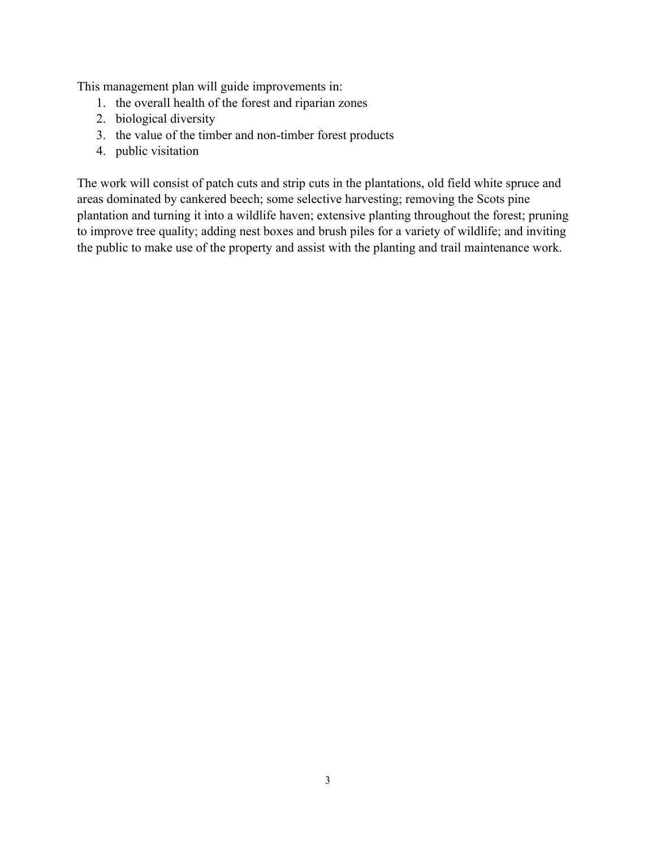This management plan will guide improvements in:

- 1. the overall health of the forest and riparian zones
- 2. biological diversity
- 3. the value of the timber and non-timber forest products
- 4. public visitation

The work will consist of patch cuts and strip cuts in the plantations, old field white spruce and areas dominated by cankered beech; some selective harvesting; removing the Scots pine plantation and turning it into a wildlife haven; extensive planting throughout the forest; pruning to improve tree quality; adding nest boxes and brush piles for a variety of wildlife; and inviting the public to make use of the property and assist with the planting and trail maintenance work.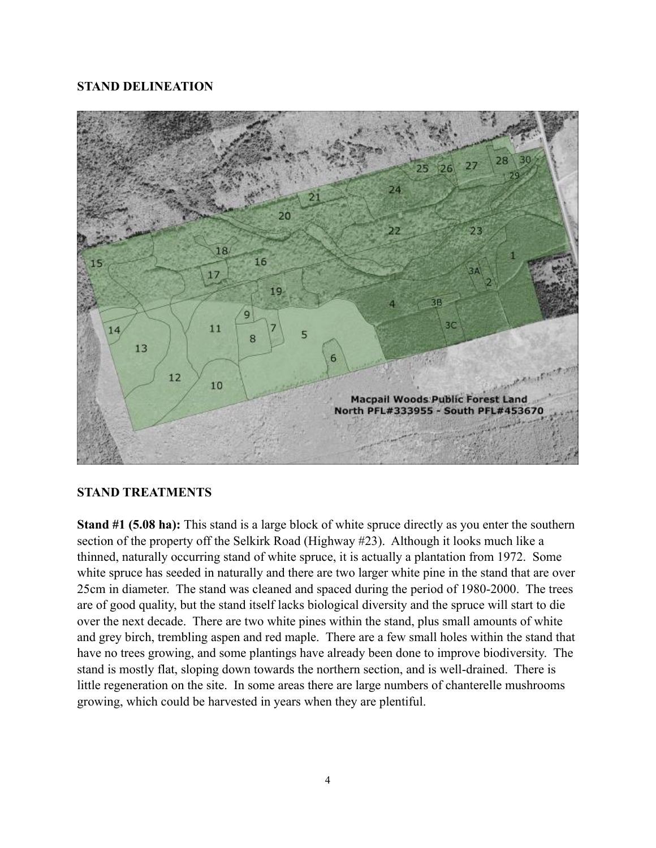### **STAND DELINEATION**



### **STAND TREATMENTS**

**Stand #1 (5.08 ha):** This stand is a large block of white spruce directly as you enter the southern section of the property off the Selkirk Road (Highway #23). Although it looks much like a thinned, naturally occurring stand of white spruce, it is actually a plantation from 1972. Some white spruce has seeded in naturally and there are two larger white pine in the stand that are over 25cm in diameter. The stand was cleaned and spaced during the period of 1980-2000. The trees are of good quality, but the stand itself lacks biological diversity and the spruce will start to die over the next decade. There are two white pines within the stand, plus small amounts of white and grey birch, trembling aspen and red maple. There are a few small holes within the stand that have no trees growing, and some plantings have already been done to improve biodiversity. The stand is mostly flat, sloping down towards the northern section, and is well-drained. There is little regeneration on the site. In some areas there are large numbers of chanterelle mushrooms growing, which could be harvested in years when they are plentiful.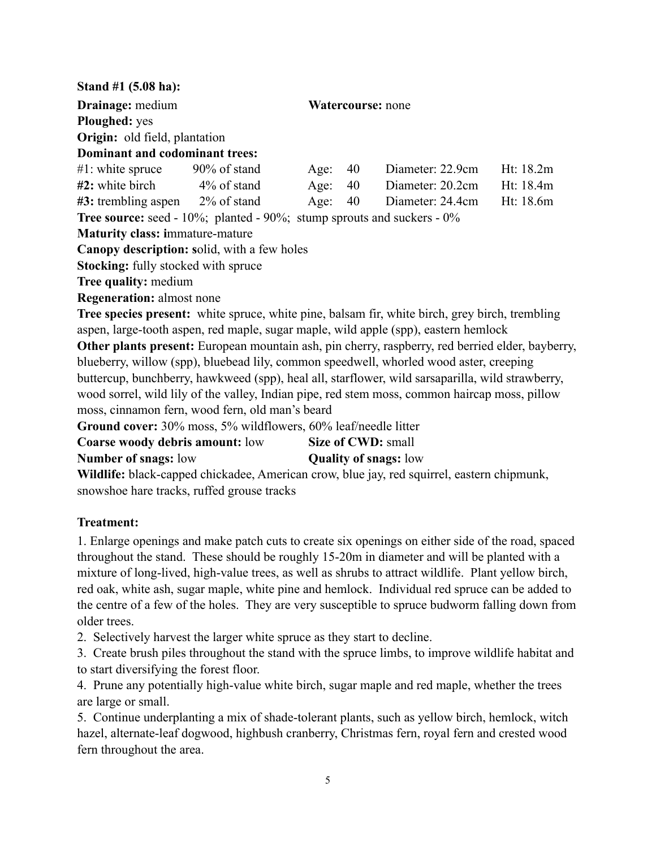**Stand #1 (5.08 ha): Drainage:** medium **Watercourse:** none **Ploughed:** yes **Origin:** old field, plantation **Dominant and codominant trees:** #1: white spruce 90% of stand Age: 40 Diameter: 22.9cm Ht: 18.2m **#2:** white birch 4% of stand Age: 40 Diameter: 20.2cm Ht: 18.4m **#3:** trembling aspen 2% of stand Age: 40 Diameter: 24.4cm Ht: 18.6m **Tree source:** seed - 10%; planted - 90%; stump sprouts and suckers - 0% **Maturity class: i**mmature-mature **Canopy description: s**olid, with a few holes **Stocking:** fully stocked with spruce **Tree quality:** medium **Regeneration:** almost none **Tree species present:** white spruce, white pine, balsam fir, white birch, grey birch, trembling aspen, large-tooth aspen, red maple, sugar maple, wild apple (spp), eastern hemlock **Other plants present:** European mountain ash, pin cherry, raspberry, red berried elder, bayberry, blueberry, willow (spp), bluebead lily, common speedwell, whorled wood aster, creeping buttercup, bunchberry, hawkweed (spp), heal all, starflower, wild sarsaparilla, wild strawberry, wood sorrel, wild lily of the valley, Indian pipe, red stem moss, common haircap moss, pillow moss, cinnamon fern, wood fern, old man's beard **Ground cover:** 30% moss, 5% wildflowers, 60% leaf/needle litter **Coarse woody debris amount:** low **Size of CWD:** small **Number of snags:** low **Quality of snags:** low **Wildlife:** black-capped chickadee, American crow, blue jay, red squirrel, eastern chipmunk, snowshoe hare tracks, ruffed grouse tracks

## **Treatment:**

1. Enlarge openings and make patch cuts to create six openings on either side of the road, spaced throughout the stand. These should be roughly 15-20m in diameter and will be planted with a mixture of long-lived, high-value trees, as well as shrubs to attract wildlife. Plant yellow birch, red oak, white ash, sugar maple, white pine and hemlock. Individual red spruce can be added to the centre of a few of the holes. They are very susceptible to spruce budworm falling down from older trees.

2. Selectively harvest the larger white spruce as they start to decline.

3. Create brush piles throughout the stand with the spruce limbs, to improve wildlife habitat and to start diversifying the forest floor.

4. Prune any potentially high-value white birch, sugar maple and red maple, whether the trees are large or small.

5. Continue underplanting a mix of shade-tolerant plants, such as yellow birch, hemlock, witch hazel, alternate-leaf dogwood, highbush cranberry, Christmas fern, royal fern and crested wood fern throughout the area.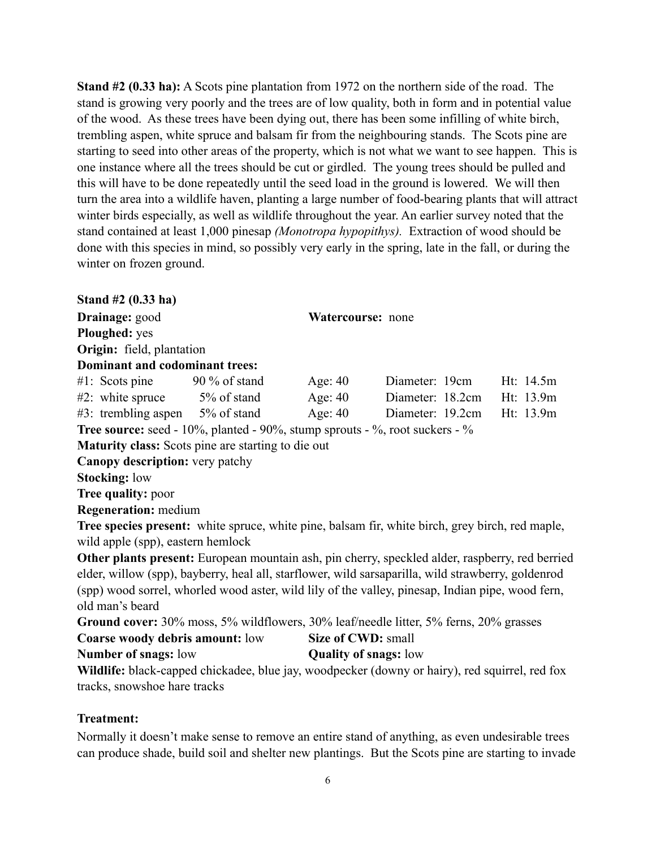**Stand #2 (0.33 ha):** A Scots pine plantation from 1972 on the northern side of the road. The stand is growing very poorly and the trees are of low quality, both in form and in potential value of the wood. As these trees have been dying out, there has been some infilling of white birch, trembling aspen, white spruce and balsam fir from the neighbouring stands. The Scots pine are starting to seed into other areas of the property, which is not what we want to see happen. This is one instance where all the trees should be cut or girdled. The young trees should be pulled and this will have to be done repeatedly until the seed load in the ground is lowered. We will then turn the area into a wildlife haven, planting a large number of food-bearing plants that will attract winter birds especially, as well as wildlife throughout the year. An earlier survey noted that the stand contained at least 1,000 pinesap *(Monotropa hypopithys).* Extraction of wood should be done with this species in mind, so possibly very early in the spring, late in the fall, or during the winter on frozen ground.

**Stand #2 (0.33 ha) Drainage:** good **Watercourse:** none **Ploughed:** yes **Origin:** field, plantation **Dominant and codominant trees:** #1: Scots pine 90 % of stand Age: 40 Diameter: 19cm Ht: 14.5m #2: white spruce 5% of stand Age: 40 Diameter: 18.2cm Ht: 13.9m #3: trembling aspen 5% of stand Age: 40 Diameter: 19.2cm Ht: 13.9m **Tree source:** seed - 10%, planted - 90%, stump sprouts - %, root suckers - % **Maturity class:** Scots pine are starting to die out **Canopy description:** very patchy **Stocking:** low **Tree quality:** poor **Regeneration:** medium **Tree species present:** white spruce, white pine, balsam fir, white birch, grey birch, red maple, wild apple (spp), eastern hemlock **Other plants present:** European mountain ash, pin cherry, speckled alder, raspberry, red berried elder, willow (spp), bayberry, heal all, starflower, wild sarsaparilla, wild strawberry, goldenrod (spp) wood sorrel, whorled wood aster, wild lily of the valley, pinesap, Indian pipe, wood fern, old man's beard **Ground cover:** 30% moss, 5% wildflowers, 30% leaf/needle litter, 5% ferns, 20% grasses **Coarse woody debris amount:** low **Size of CWD:** small **Number of snags:** low **Quality of snags:** low

**Wildlife:** black-capped chickadee, blue jay, woodpecker (downy or hairy), red squirrel, red fox tracks, snowshoe hare tracks

## **Treatment:**

Normally it doesn't make sense to remove an entire stand of anything, as even undesirable trees can produce shade, build soil and shelter new plantings. But the Scots pine are starting to invade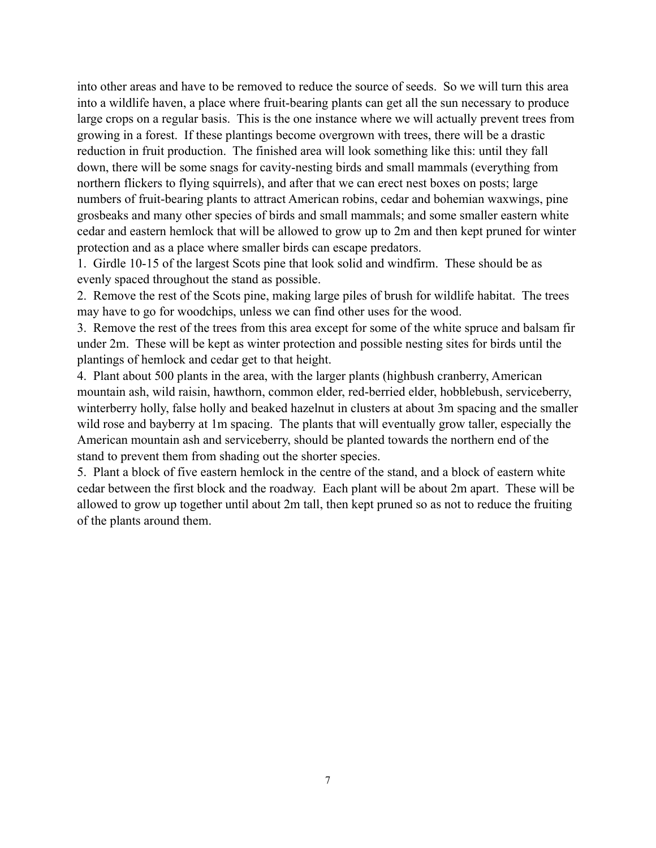into other areas and have to be removed to reduce the source of seeds. So we will turn this area into a wildlife haven, a place where fruit-bearing plants can get all the sun necessary to produce large crops on a regular basis. This is the one instance where we will actually prevent trees from growing in a forest. If these plantings become overgrown with trees, there will be a drastic reduction in fruit production. The finished area will look something like this: until they fall down, there will be some snags for cavity-nesting birds and small mammals (everything from northern flickers to flying squirrels), and after that we can erect nest boxes on posts; large numbers of fruit-bearing plants to attract American robins, cedar and bohemian waxwings, pine grosbeaks and many other species of birds and small mammals; and some smaller eastern white cedar and eastern hemlock that will be allowed to grow up to 2m and then kept pruned for winter protection and as a place where smaller birds can escape predators.

1. Girdle 10-15 of the largest Scots pine that look solid and windfirm. These should be as evenly spaced throughout the stand as possible.

2. Remove the rest of the Scots pine, making large piles of brush for wildlife habitat. The trees may have to go for woodchips, unless we can find other uses for the wood.

3. Remove the rest of the trees from this area except for some of the white spruce and balsam fir under 2m. These will be kept as winter protection and possible nesting sites for birds until the plantings of hemlock and cedar get to that height.

4. Plant about 500 plants in the area, with the larger plants (highbush cranberry, American mountain ash, wild raisin, hawthorn, common elder, red-berried elder, hobblebush, serviceberry, winterberry holly, false holly and beaked hazelnut in clusters at about 3m spacing and the smaller wild rose and bayberry at 1m spacing. The plants that will eventually grow taller, especially the American mountain ash and serviceberry, should be planted towards the northern end of the stand to prevent them from shading out the shorter species.

5. Plant a block of five eastern hemlock in the centre of the stand, and a block of eastern white cedar between the first block and the roadway. Each plant will be about 2m apart. These will be allowed to grow up together until about 2m tall, then kept pruned so as not to reduce the fruiting of the plants around them.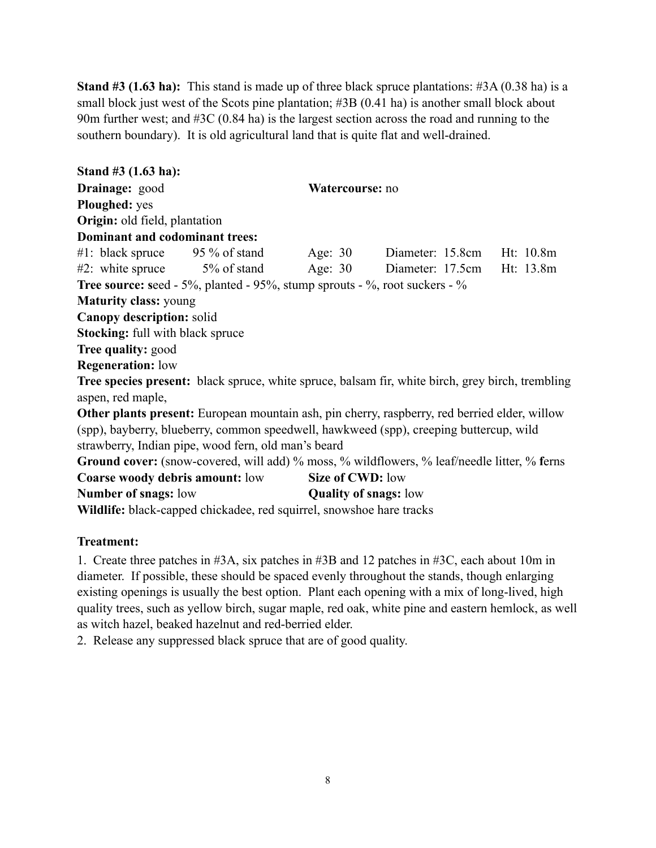**Stand #3 (1.63 ha):** This stand is made up of three black spruce plantations: #3A (0.38 ha) is a small block just west of the Scots pine plantation; #3B (0.41 ha) is another small block about 90m further west; and #3C (0.84 ha) is the largest section across the road and running to the southern boundary). It is old agricultural land that is quite flat and well-drained.

**Stand #3 (1.63 ha): Drainage:** good **Watercourse:** no **Ploughed:** yes **Origin:** old field, plantation **Dominant and codominant trees:** #1: black spruce 95 % of stand Age: 30 Diameter: 15.8cm Ht: 10.8m #2: white spruce 5% of stand Age: 30 Diameter: 17.5cm Ht: 13.8m **Tree source: seed - 5%, planted - 95%, stump sprouts - %, root suckers - % Maturity class:** young **Canopy description:** solid **Stocking:** full with black spruce **Tree quality:** good **Regeneration:** low **Tree species present:** black spruce, white spruce, balsam fir, white birch, grey birch, trembling aspen, red maple, **Other plants present:** European mountain ash, pin cherry, raspberry, red berried elder, willow (spp), bayberry, blueberry, common speedwell, hawkweed (spp), creeping buttercup, wild strawberry, Indian pipe, wood fern, old man's beard **Ground cover:** (snow-covered, will add) % moss, % wildflowers, % leaf/needle litter, % **f**erns **Coarse woody debris amount:** low **Size of CWD:** low **Number of snags:** low **Quality of snags:** low **Wildlife:** black-capped chickadee, red squirrel, snowshoe hare tracks

## **Treatment:**

1. Create three patches in #3A, six patches in #3B and 12 patches in #3C, each about 10m in diameter. If possible, these should be spaced evenly throughout the stands, though enlarging existing openings is usually the best option. Plant each opening with a mix of long-lived, high quality trees, such as yellow birch, sugar maple, red oak, white pine and eastern hemlock, as well as witch hazel, beaked hazelnut and red-berried elder.

2. Release any suppressed black spruce that are of good quality.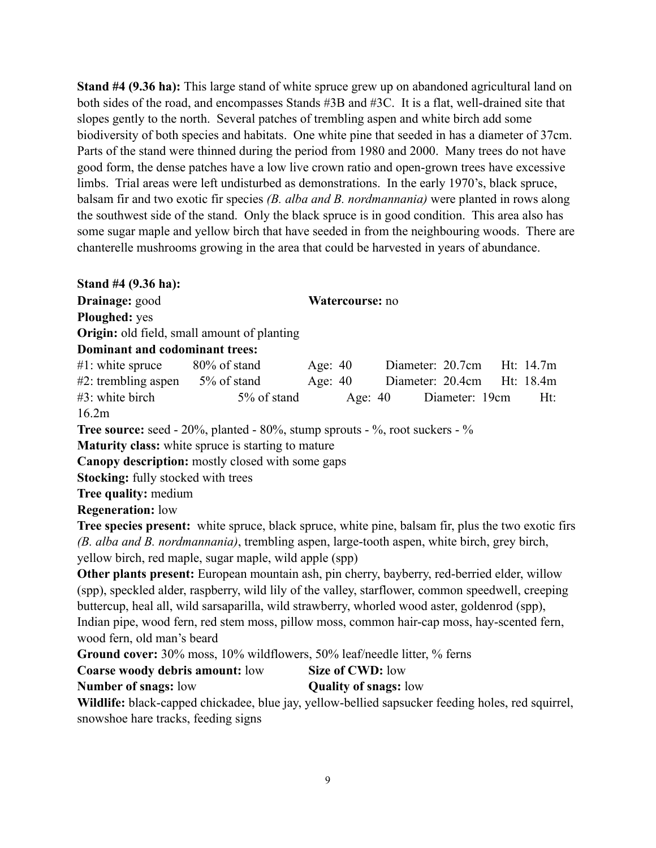**Stand #4 (9.36 ha):** This large stand of white spruce grew up on abandoned agricultural land on both sides of the road, and encompasses Stands #3B and #3C. It is a flat, well-drained site that slopes gently to the north. Several patches of trembling aspen and white birch add some biodiversity of both species and habitats. One white pine that seeded in has a diameter of 37cm. Parts of the stand were thinned during the period from 1980 and 2000. Many trees do not have good form, the dense patches have a low live crown ratio and open-grown trees have excessive limbs. Trial areas were left undisturbed as demonstrations. In the early 1970's, black spruce, balsam fir and two exotic fir species *(B. alba and B. nordmannania)* were planted in rows along the southwest side of the stand. Only the black spruce is in good condition. This area also has some sugar maple and yellow birch that have seeded in from the neighbouring woods. There are chanterelle mushrooms growing in the area that could be harvested in years of abundance.

**Stand #4 (9.36 ha):**

**Drainage:** good **Watercourse:** no

**Ploughed:** yes

**Origin:** old field, small amount of planting

### **Dominant and codominant trees:**

| $#1$ : white spruce    | 80% of stand | Age: 40   | Diameter: 20.7cm           |                | Ht: 14.7m |
|------------------------|--------------|-----------|----------------------------|----------------|-----------|
| $#2$ : trembling aspen | 5% of stand  | Age: $40$ | Diameter: 20.4cm Ht: 18.4m |                |           |
| $#3$ : white birch     | 5% of stand  | Age: 40   |                            | Diameter: 19cm | $Ht$ :    |
| 16.2m                  |              |           |                            |                |           |

**Tree source:** seed - 20%, planted - 80%, stump sprouts - %, root suckers - %

**Maturity class:** white spruce is starting to mature

**Canopy description:** mostly closed with some gaps

**Stocking:** fully stocked with trees

**Tree quality:** medium

**Regeneration:** low

**Tree species present:** white spruce, black spruce, white pine, balsam fir, plus the two exotic firs *(B. alba and B. nordmannania)*, trembling aspen, large-tooth aspen, white birch, grey birch, yellow birch, red maple, sugar maple, wild apple (spp)

**Other plants present:** European mountain ash, pin cherry, bayberry, red-berried elder, willow (spp), speckled alder, raspberry, wild lily of the valley, starflower, common speedwell, creeping buttercup, heal all, wild sarsaparilla, wild strawberry, whorled wood aster, goldenrod (spp), Indian pipe, wood fern, red stem moss, pillow moss, common hair-cap moss, hay-scented fern, wood fern, old man's beard

**Ground cover:** 30% moss, 10% wildflowers, 50% leaf/needle litter, % ferns

| Coarse woody debris amount: low | Size of CWD: low |
|---------------------------------|------------------|
|---------------------------------|------------------|

**Number of snags:** low **Quality of snags:** low

**Wildlife:** black-capped chickadee, blue jay, yellow-bellied sapsucker feeding holes, red squirrel, snowshoe hare tracks, feeding signs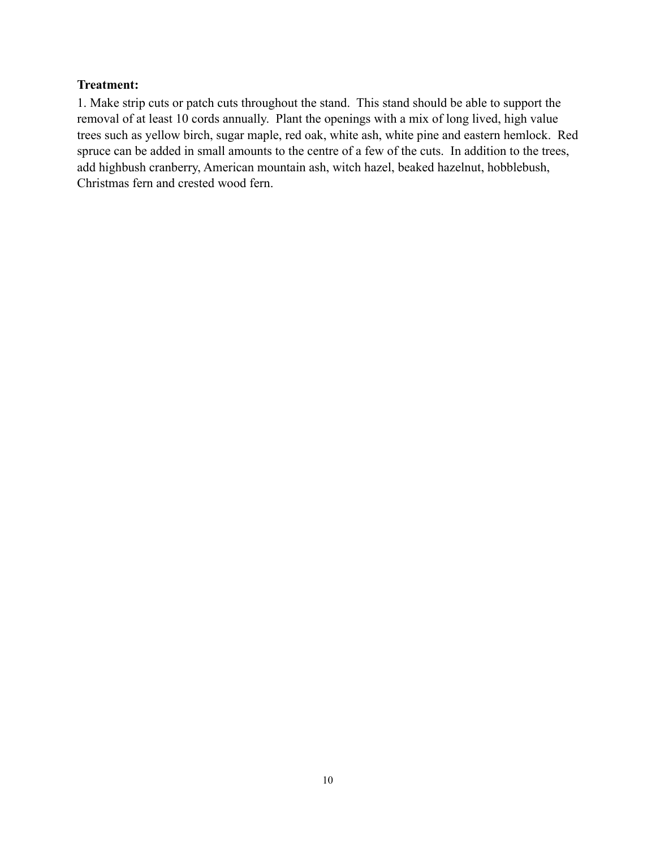### **Treatment:**

1. Make strip cuts or patch cuts throughout the stand. This stand should be able to support the removal of at least 10 cords annually. Plant the openings with a mix of long lived, high value trees such as yellow birch, sugar maple, red oak, white ash, white pine and eastern hemlock. Red spruce can be added in small amounts to the centre of a few of the cuts. In addition to the trees, add highbush cranberry, American mountain ash, witch hazel, beaked hazelnut, hobblebush, Christmas fern and crested wood fern.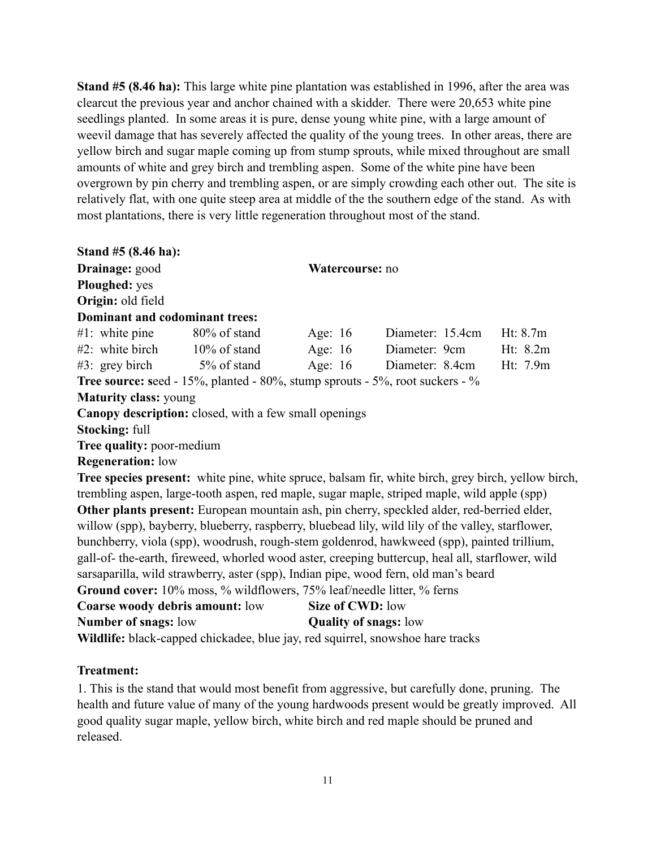**Stand #5 (8.46 ha):** This large white pine plantation was established in 1996, after the area was clearcut the previous year and anchor chained with a skidder. There were 20,653 white pine seedlings planted. In some areas it is pure, dense young white pine, with a large amount of weevil damage that has severely affected the quality of the young trees. In other areas, there are yellow birch and sugar maple coming up from stump sprouts, while mixed throughout are small amounts of white and grey birch and trembling aspen. Some of the white pine have been overgrown by pin cherry and trembling aspen, or are simply crowding each other out. The site is relatively flat, with one quite steep area at middle of the the southern edge of the stand. As with most plantations, there is very little regeneration throughout most of the stand.

| Stand $#5(8.46 \text{ ha})$ :                                          |                 |                                                                                                    |            |
|------------------------------------------------------------------------|-----------------|----------------------------------------------------------------------------------------------------|------------|
| Drainage: good                                                         | Watercourse: no |                                                                                                    |            |
| Ploughed: yes                                                          |                 |                                                                                                    |            |
| Origin: old field                                                      |                 |                                                                                                    |            |
| Dominant and codominant trees:                                         |                 |                                                                                                    |            |
| #1: white pine $80\%$ of stand                                         | Age: $16$       | Diameter: 15.4cm                                                                                   | Ht: $8.7m$ |
| $#2$ : white birch $10\%$ of stand                                     | Age: $16$       | Diameter: 9cm                                                                                      | Ht: $8.2m$ |
| $\#3$ : grey birch $5\%$ of stand                                      |                 | Age: 16 Diameter: 8.4cm                                                                            | Ht: 7.9m   |
|                                                                        |                 | <b>Tree source: seed - 15%, planted - 80%, stump sprouts - 5%, root suckers - %</b>                |            |
| <b>Maturity class: young</b>                                           |                 |                                                                                                    |            |
| Canopy description: closed, with a few small openings                  |                 |                                                                                                    |            |
| <b>Stocking: full</b>                                                  |                 |                                                                                                    |            |
| Tree quality: poor-medium                                              |                 |                                                                                                    |            |
| <b>Regeneration:</b> low                                               |                 |                                                                                                    |            |
|                                                                        |                 | Tree species present: white pine, white spruce, balsam fir, white birch, grey birch, yellow birch, |            |
|                                                                        |                 | trembling aspen, large-tooth aspen, red maple, sugar maple, striped maple, wild apple (spp)        |            |
|                                                                        |                 | Other plants present: European mountain ash, pin cherry, speckled alder, red-berried elder,        |            |
|                                                                        |                 | willow (spp), bayberry, blueberry, raspberry, bluebead lily, wild lily of the valley, starflower,  |            |
|                                                                        |                 | bunchberry, viola (spp), woodrush, rough-stem goldenrod, hawkweed (spp), painted trillium,         |            |
|                                                                        |                 | gall-of- the-earth, fireweed, whorled wood aster, creeping buttercup, heal all, starflower, wild   |            |
|                                                                        |                 | sarsaparilla, wild strawberry, aster (spp), Indian pipe, wood fern, old man's beard                |            |
| Ground cover: 10% moss, % wildflowers, 75% leaf/needle litter, % ferns |                 |                                                                                                    |            |

| <b>Coarse woody debris amount:</b> low                                                                                                                                                                                                                                      | Size of CWD: low             |
|-----------------------------------------------------------------------------------------------------------------------------------------------------------------------------------------------------------------------------------------------------------------------------|------------------------------|
| <b>Number of snags:</b> low                                                                                                                                                                                                                                                 | <b>Quality of snags:</b> low |
| $\bf{W21.1120}$ , 1.1, 1. $\bf{1}$ , $\bf{1}$ , $\bf{1}$ , $\bf{1}$ , $\bf{1}$ , $\bf{1}$ , $\bf{1}$ , $\bf{1}$ , $\bf{1}$ , $\bf{1}$ , $\bf{1}$ , $\bf{1}$ , $\bf{1}$ , $\bf{1}$ , $\bf{1}$ , $\bf{1}$ , $\bf{1}$ , $\bf{1}$ , $\bf{1}$ , $\bf{1}$ , $\bf{1}$ , $\bf{1}$ , |                              |

**Wildlife:** black-capped chickadee, blue jay, red squirrel, snowshoe hare tracks

## **Treatment:**

1. This is the stand that would most benefit from aggressive, but carefully done, pruning. The health and future value of many of the young hardwoods present would be greatly improved. All good quality sugar maple, yellow birch, white birch and red maple should be pruned and released.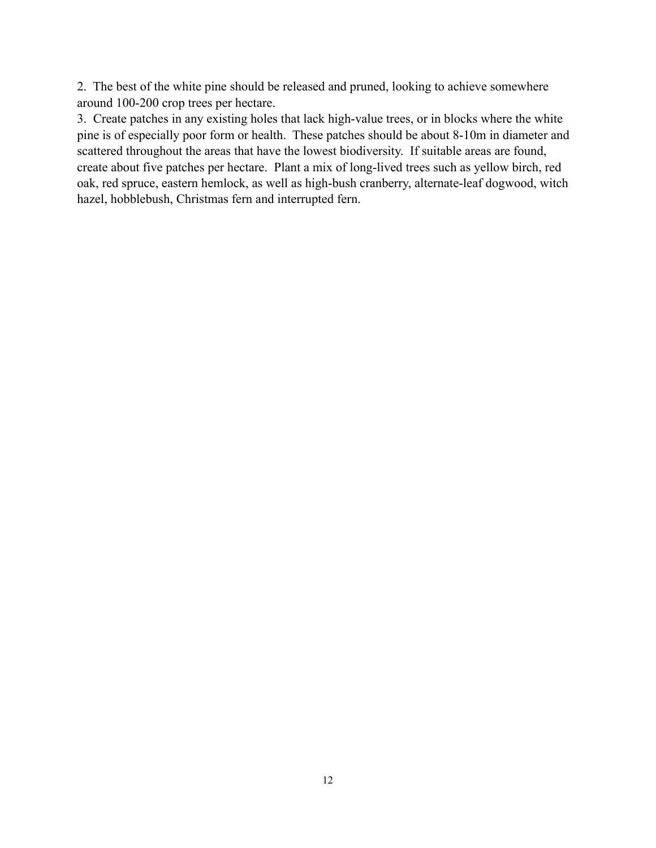2. The best of the white pine should be released and pruned, looking to achieve somewhere around 100-200 crop trees per hectare.

3. Create patches in any existing holes that lack high-value trees, or in blocks where the white pine is of especially poor form or health. These patches should be about 8-10m in diameter and scattered throughout the areas that have the lowest biodiversity. If suitable areas are found, create about five patches per hectare. Plant a mix of long-lived trees such as yellow birch, red oak, red spruce, eastern hemlock, as well as high-bush cranberry, alternate-leaf dogwood, witch hazel, hobblebush, Christmas fern and interrupted fern.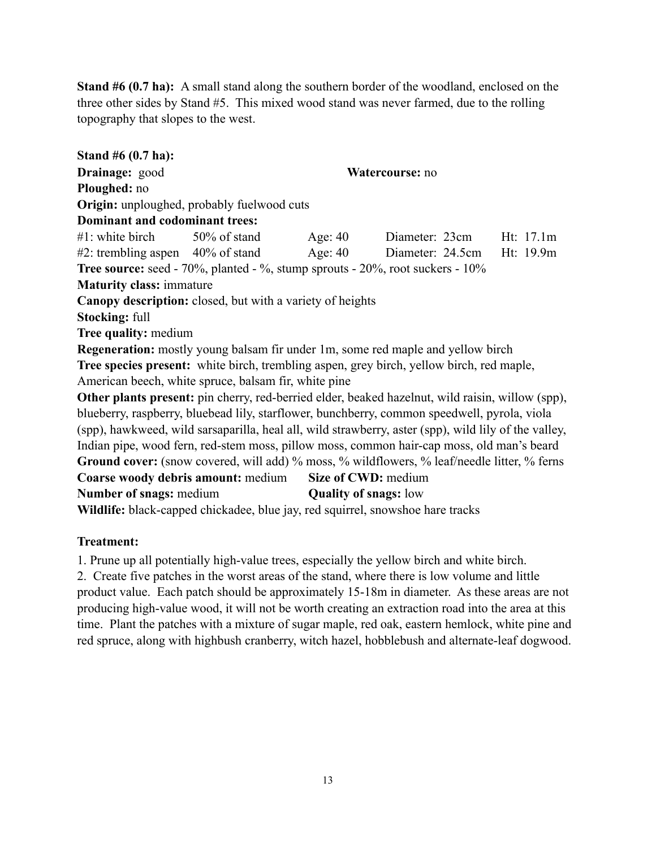**Stand #6 (0.7 ha):** A small stand along the southern border of the woodland, enclosed on the three other sides by Stand #5. This mixed wood stand was never farmed, due to the rolling topography that slopes to the west.

**Stand #6 (0.7 ha): Drainage:** good **Watercourse:** no **Ploughed:** no **Origin:** unploughed, probably fuelwood cuts **Dominant and codominant trees:** #1: white birch 50% of stand Age: 40 Diameter: 23cm Ht: 17.1m #2: trembling aspen 40% of stand Age: 40 Diameter: 24.5cm Ht: 19.9m **Tree source:** seed - 70%, planted - %, stump sprouts - 20%, root suckers - 10% **Maturity class:** immature **Canopy description:** closed, but with a variety of heights **Stocking:** full **Tree quality:** medium **Regeneration:** mostly young balsam fir under 1m, some red maple and yellow birch **Tree species present:** white birch, trembling aspen, grey birch, yellow birch, red maple, American beech, white spruce, balsam fir, white pine **Other plants present:** pin cherry, red-berried elder, beaked hazelnut, wild raisin, willow (spp), blueberry, raspberry, bluebead lily, starflower, bunchberry, common speedwell, pyrola, viola (spp), hawkweed, wild sarsaparilla, heal all, wild strawberry, aster (spp), wild lily of the valley, Indian pipe, wood fern, red-stem moss, pillow moss, common hair-cap moss, old man's beard Ground cover: (snow covered, will add) % moss, % wildflowers, % leaf/needle litter, % ferns **Coarse woody debris amount:** medium **Size of CWD:** medium **Number of snags: medium Quality of snags: low Wildlife:** black-capped chickadee, blue jay, red squirrel, snowshoe hare tracks

## **Treatment:**

1. Prune up all potentially high-value trees, especially the yellow birch and white birch.

2. Create five patches in the worst areas of the stand, where there is low volume and little product value. Each patch should be approximately 15-18m in diameter. As these areas are not producing high-value wood, it will not be worth creating an extraction road into the area at this time. Plant the patches with a mixture of sugar maple, red oak, eastern hemlock, white pine and red spruce, along with highbush cranberry, witch hazel, hobblebush and alternate-leaf dogwood.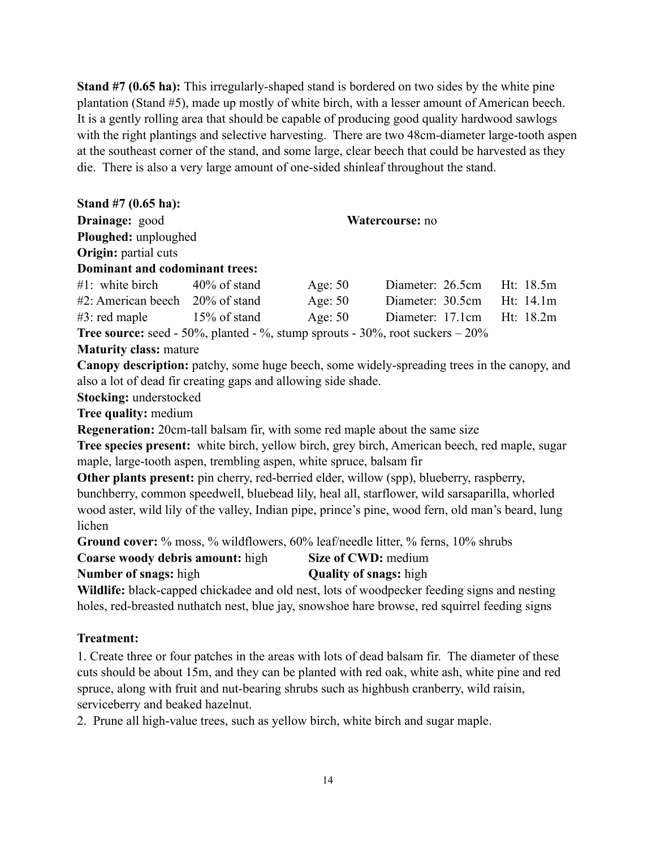**Stand #7 (0.65 ha):** This irregularly-shaped stand is bordered on two sides by the white pine plantation (Stand #5), made up mostly of white birch, with a lesser amount of American beech. It is a gently rolling area that should be capable of producing good quality hardwood sawlogs with the right plantings and selective harvesting. There are two 48cm-diameter large-tooth aspen at the southeast corner of the stand, and some large, clear beech that could be harvested as they die. There is also a very large amount of one-sided shinleaf throughout the stand.

| Stand $#7$ (0.65 ha):                                               |                 |           |                                                                                                   |           |  |
|---------------------------------------------------------------------|-----------------|-----------|---------------------------------------------------------------------------------------------------|-----------|--|
| Drainage: good                                                      | Watercourse: no |           |                                                                                                   |           |  |
| Ploughed: unploughed                                                |                 |           |                                                                                                   |           |  |
| <b>Origin:</b> partial cuts                                         |                 |           |                                                                                                   |           |  |
| Dominant and codominant trees:                                      |                 |           |                                                                                                   |           |  |
| #1: white birch $40\%$ of stand                                     |                 | Age: $50$ | Diameter: 26.5cm                                                                                  | Ht: 18.5m |  |
| $#2$ : American beech $20\%$ of stand                               |                 | Age: 50   | Diameter: 30.5cm Ht: 14.1m                                                                        |           |  |
| $#3$ : red maple $15\%$ of stand Age: 50                            |                 |           | Diameter: 17.1cm                                                                                  | Ht: 18.2m |  |
|                                                                     |                 |           | <b>Tree source:</b> seed - 50%, planted - %, stump sprouts - $30\%$ , root suckers $-20\%$        |           |  |
| <b>Maturity class: mature</b>                                       |                 |           |                                                                                                   |           |  |
|                                                                     |                 |           | Canopy description: patchy, some huge beech, some widely-spreading trees in the canopy, and       |           |  |
| also a lot of dead fir creating gaps and allowing side shade.       |                 |           |                                                                                                   |           |  |
| <b>Stocking:</b> understocked                                       |                 |           |                                                                                                   |           |  |
| <b>Tree quality: medium</b>                                         |                 |           |                                                                                                   |           |  |
|                                                                     |                 |           | <b>Regeneration:</b> 20cm-tall balsam fir, with some red maple about the same size                |           |  |
|                                                                     |                 |           | Tree species present: white birch, yellow birch, grey birch, American beech, red maple, sugar     |           |  |
| maple, large-tooth aspen, trembling aspen, white spruce, balsam fir |                 |           |                                                                                                   |           |  |
|                                                                     |                 |           | Other plants present: pin cherry, red-berried elder, willow (spp), blueberry, raspberry,          |           |  |
|                                                                     |                 |           | bunchberry, common speedwell, bluebead lily, heal all, starflower, wild sarsaparilla, whorled     |           |  |
|                                                                     |                 |           | wood aster, wild lily of the valley, Indian pipe, prince's pine, wood fern, old man's beard, lung |           |  |
| lichen                                                              |                 |           |                                                                                                   |           |  |
|                                                                     |                 |           | Ground cover: % moss, % wildflowers, 60% leaf/needle litter, % ferns, 10% shrubs                  |           |  |
| <b>Coarse woody debris amount:</b> high                             |                 |           | Size of CWD: medium                                                                               |           |  |

**Number of snags:** high **Quality of snags:** high

Wildlife: black-capped chickadee and old nest, lots of woodpecker feeding signs and nesting holes, red-breasted nuthatch nest, blue jay, snowshoe hare browse, red squirrel feeding signs

## **Treatment:**

1. Create three or four patches in the areas with lots of dead balsam fir. The diameter of these cuts should be about 15m, and they can be planted with red oak, white ash, white pine and red spruce, along with fruit and nut-bearing shrubs such as highbush cranberry, wild raisin, serviceberry and beaked hazelnut.

2. Prune all high-value trees, such as yellow birch, white birch and sugar maple.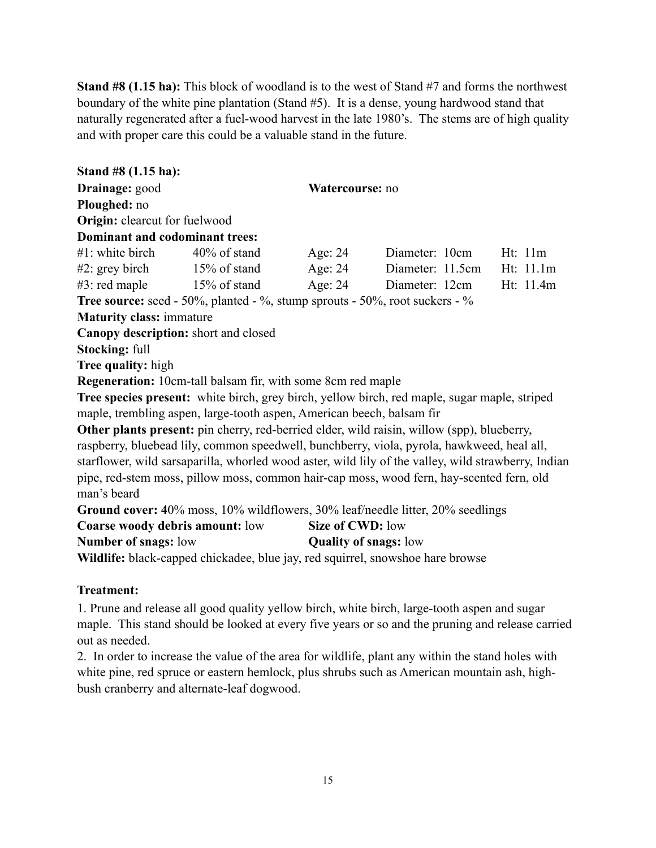**Stand #8 (1.15 ha):** This block of woodland is to the west of Stand #7 and forms the northwest boundary of the white pine plantation (Stand #5). It is a dense, young hardwood stand that naturally regenerated after a fuel-wood harvest in the late 1980's. The stems are of high quality and with proper care this could be a valuable stand in the future.

**Stand #8 (1.15 ha): Drainage:** good **Watercourse:** no **Ploughed:** no **Origin:** clearcut for fuelwood **Dominant and codominant trees:** #1: white birch 40% of stand Age: 24 Diameter: 10cm Ht: 11m #2: grey birch 15% of stand Age: 24 Diameter: 11.5cm Ht: 11.1m #3: red maple 15% of stand Age: 24 Diameter: 12cm Ht: 11.4m **Tree source:** seed - 50%, planted - %, stump sprouts - 50%, root suckers - % **Maturity class:** immature **Canopy description:** short and closed **Stocking:** full **Tree quality:** high **Regeneration:** 10cm-tall balsam fir, with some 8cm red maple **Tree species present:** white birch, grey birch, yellow birch, red maple, sugar maple, striped maple, trembling aspen, large-tooth aspen, American beech, balsam fir **Other plants present:** pin cherry, red-berried elder, wild raisin, willow (spp), blueberry, raspberry, bluebead lily, common speedwell, bunchberry, viola, pyrola, hawkweed, heal all, starflower, wild sarsaparilla, whorled wood aster, wild lily of the valley, wild strawberry, Indian pipe, red-stem moss, pillow moss, common hair-cap moss, wood fern, hay-scented fern, old man's beard **Ground cover: 4**0% moss, 10% wildflowers, 30% leaf/needle litter, 20% seedlings **Coarse woody debris amount:** low **Size of CWD:** low **Number of snags:** low **Quality of snags:** low **Wildlife:** black-capped chickadee, blue jay, red squirrel, snowshoe hare browse

### **Treatment:**

1. Prune and release all good quality yellow birch, white birch, large-tooth aspen and sugar maple. This stand should be looked at every five years or so and the pruning and release carried out as needed.

2. In order to increase the value of the area for wildlife, plant any within the stand holes with white pine, red spruce or eastern hemlock, plus shrubs such as American mountain ash, highbush cranberry and alternate-leaf dogwood.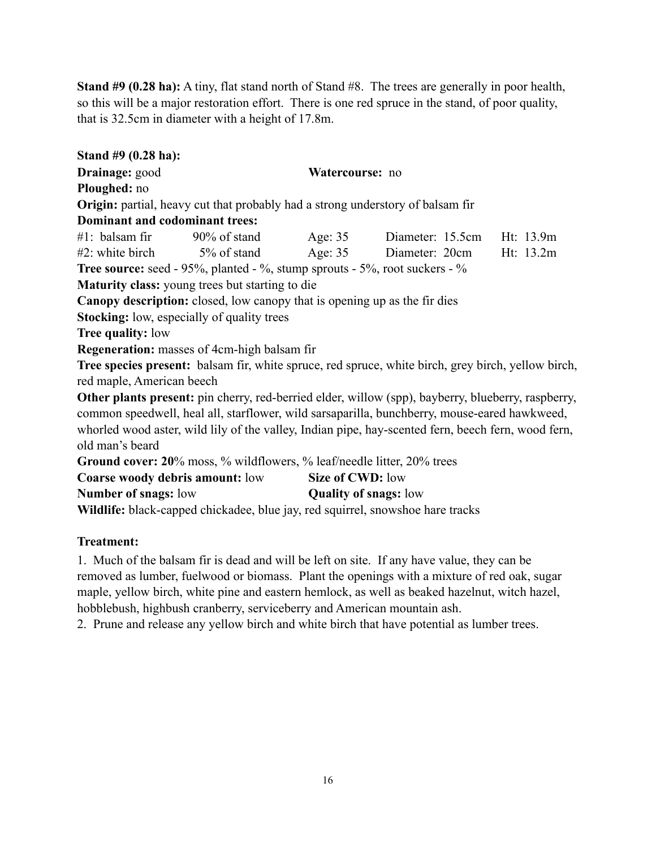**Stand #9 (0.28 ha):** A tiny, flat stand north of Stand #8. The trees are generally in poor health, so this will be a major restoration effort. There is one red spruce in the stand, of poor quality, that is 32.5cm in diameter with a height of 17.8m.

**Stand #9 (0.28 ha): Drainage:** good **Watercourse:** no **Ploughed:** no **Origin:** partial, heavy cut that probably had a strong understory of balsam fir **Dominant and codominant trees:** #1: balsam fir 90% of stand Age: 35 Diameter: 15.5cm Ht: 13.9m #2: white birch 5% of stand Age: 35 Diameter: 20cm Ht: 13.2m **Tree source:** seed - 95%, planted - %, stump sprouts - 5%, root suckers - % **Maturity class:** young trees but starting to die **Canopy description:** closed, low canopy that is opening up as the fir dies **Stocking:** low, especially of quality trees **Tree quality:** low **Regeneration:** masses of 4cm-high balsam fir **Tree species present:** balsam fir, white spruce, red spruce, white birch, grey birch, yellow birch, red maple, American beech **Other plants present:** pin cherry, red-berried elder, willow (spp), bayberry, blueberry, raspberry, common speedwell, heal all, starflower, wild sarsaparilla, bunchberry, mouse-eared hawkweed, whorled wood aster, wild lily of the valley, Indian pipe, hay-scented fern, beech fern, wood fern, old man's beard **Ground cover: 20**% moss, % wildflowers, % leaf/needle litter, 20% trees **Coarse woody debris amount:** low **Size of CWD:** low **Number of snags:** low **Quality of snags:** low

**Wildlife:** black-capped chickadee, blue jay, red squirrel, snowshoe hare tracks

## **Treatment:**

1. Much of the balsam fir is dead and will be left on site. If any have value, they can be removed as lumber, fuelwood or biomass. Plant the openings with a mixture of red oak, sugar maple, yellow birch, white pine and eastern hemlock, as well as beaked hazelnut, witch hazel, hobblebush, highbush cranberry, serviceberry and American mountain ash.

2. Prune and release any yellow birch and white birch that have potential as lumber trees.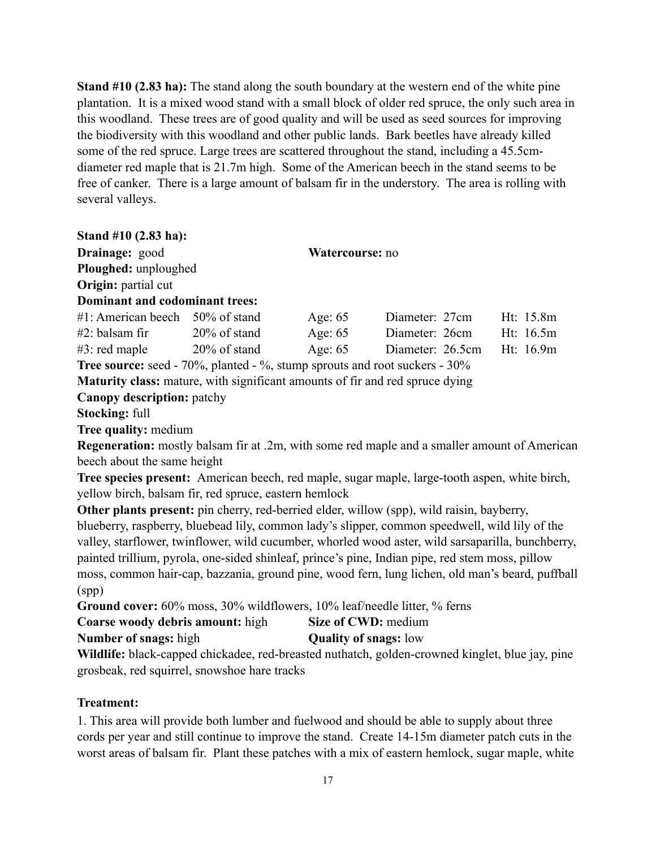**Stand #10 (2.83 ha):** The stand along the south boundary at the western end of the white pine plantation. It is a mixed wood stand with a small block of older red spruce, the only such area in this woodland. These trees are of good quality and will be used as seed sources for improving the biodiversity with this woodland and other public lands. Bark beetles have already killed some of the red spruce. Large trees are scattered throughout the stand, including a 45.5cmdiameter red maple that is 21.7m high. Some of the American beech in the stand seems to be free of canker. There is a large amount of balsam fir in the understory. The area is rolling with several valleys.

| Stand $#10(2.83 \text{ ha})$ :                                                    |                 |                 |                  |           |
|-----------------------------------------------------------------------------------|-----------------|-----------------|------------------|-----------|
| Drainage: good                                                                    |                 | Watercourse: no |                  |           |
| Ploughed: unploughed                                                              |                 |                 |                  |           |
| Origin: partial cut                                                               |                 |                 |                  |           |
| Dominant and codominant trees:                                                    |                 |                 |                  |           |
| $#1$ : American beech 50% of stand                                                |                 | Age: $65$       | Diameter: 27cm   | Ht: 15.8m |
| $#2$ : balsam fir                                                                 | $20\%$ of stand | Age: $65$       | Diameter: 26cm   | Ht: 16.5m |
| $#3$ : red maple                                                                  | $20\%$ of stand | Age: $65$       | Diameter: 26.5cm | Ht: 16.9m |
| <b>Tree source:</b> seed - 70%, planted - %, stump sprouts and root suckers - 30% |                 |                 |                  |           |

**Maturity class:** mature, with significant amounts of fir and red spruce dying

**Canopy description:** patchy

**Stocking:** full

**Tree quality:** medium

**Regeneration:** mostly balsam fir at .2m, with some red maple and a smaller amount of American beech about the same height

**Tree species present:** American beech, red maple, sugar maple, large-tooth aspen, white birch, yellow birch, balsam fir, red spruce, eastern hemlock

**Other plants present:** pin cherry, red-berried elder, willow (spp), wild raisin, bayberry, blueberry, raspberry, bluebead lily, common lady's slipper, common speedwell, wild lily of the valley, starflower, twinflower, wild cucumber, whorled wood aster, wild sarsaparilla, bunchberry, painted trillium, pyrola, one-sided shinleaf, prince's pine, Indian pipe, red stem moss, pillow moss, common hair-cap, bazzania, ground pine, wood fern, lung lichen, old man's beard, puffball (spp)

**Ground cover:** 60% moss, 30% wildflowers, 10% leaf/needle litter, % ferns

**Coarse woody debris amount:** high Size of CWD: medium

**Number of snags:** high **Quality of snags:** low

**Wildlife:** black-capped chickadee, red-breasted nuthatch, golden-crowned kinglet, blue jay, pine grosbeak, red squirrel, snowshoe hare tracks

# **Treatment:**

1. This area will provide both lumber and fuelwood and should be able to supply about three cords per year and still continue to improve the stand. Create 14-15m diameter patch cuts in the worst areas of balsam fir. Plant these patches with a mix of eastern hemlock, sugar maple, white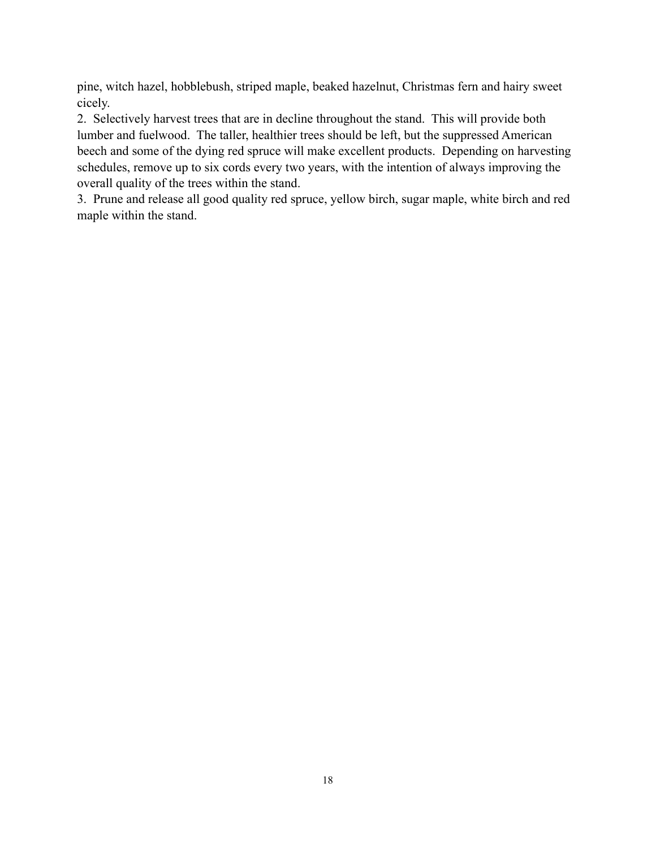pine, witch hazel, hobblebush, striped maple, beaked hazelnut, Christmas fern and hairy sweet cicely.

2. Selectively harvest trees that are in decline throughout the stand. This will provide both lumber and fuelwood. The taller, healthier trees should be left, but the suppressed American beech and some of the dying red spruce will make excellent products. Depending on harvesting schedules, remove up to six cords every two years, with the intention of always improving the overall quality of the trees within the stand.

3. Prune and release all good quality red spruce, yellow birch, sugar maple, white birch and red maple within the stand.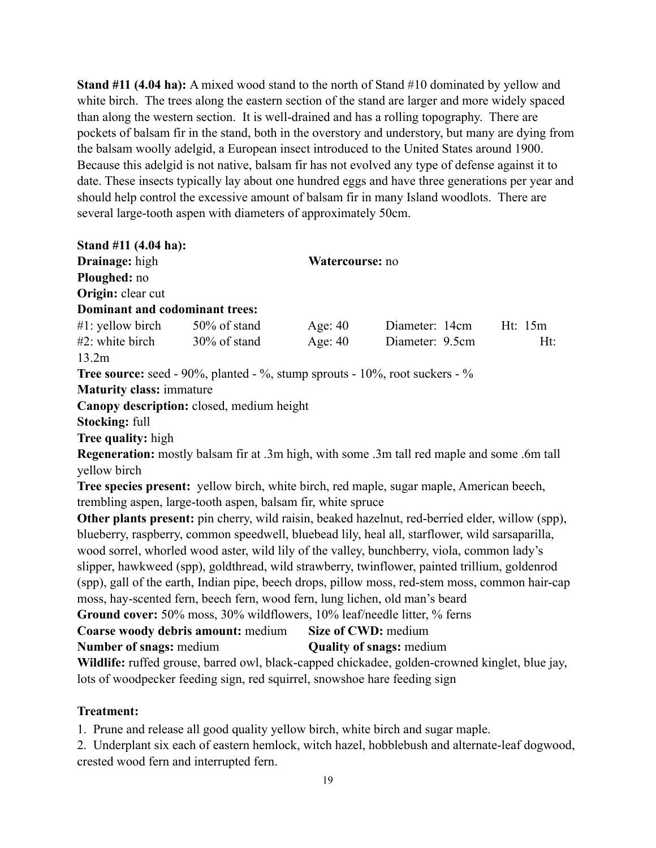**Stand #11 (4.04 ha):** A mixed wood stand to the north of Stand #10 dominated by yellow and white birch. The trees along the eastern section of the stand are larger and more widely spaced than along the western section. It is well-drained and has a rolling topography. There are pockets of balsam fir in the stand, both in the overstory and understory, but many are dying from the balsam woolly adelgid, a European insect introduced to the [United States](http://en.wikipedia.org/wiki/United_States) around 1900. Because this adelgid is not native, balsam fir has not evolved any type of defense against it to date. These insects typically lay about one hundred eggs and have three generations per year and should help control the excessive amount of balsam fir in many Island woodlots. There are several large-tooth aspen with diameters of approximately 50cm.

| Stand #11 (4.04 ha):                |                                                                                                  |                 |                 |           |
|-------------------------------------|--------------------------------------------------------------------------------------------------|-----------------|-----------------|-----------|
| <b>Drainage:</b> high               |                                                                                                  | Watercourse: no |                 |           |
| Ploughed: no                        |                                                                                                  |                 |                 |           |
| Origin: clear cut                   |                                                                                                  |                 |                 |           |
| Dominant and codominant trees:      |                                                                                                  |                 |                 |           |
| $#1$ : yellow birch $50\%$ of stand |                                                                                                  | Age: $40$       | Diameter: 14cm  | Ht: $15m$ |
| $#2$ : white birch                  | $30\%$ of stand                                                                                  | Age: $40$       | Diameter: 9.5cm | Ht:       |
| 13.2m                               |                                                                                                  |                 |                 |           |
|                                     | Tree source: seed - 90%, planted - %, stump sprouts - 10%, root suckers - %                      |                 |                 |           |
| <b>Maturity class: immature</b>     |                                                                                                  |                 |                 |           |
|                                     | Canopy description: closed, medium height                                                        |                 |                 |           |
| <b>Stocking: full</b>               |                                                                                                  |                 |                 |           |
| <b>Tree quality:</b> high           |                                                                                                  |                 |                 |           |
|                                     | Regeneration: mostly balsam fir at .3m high, with some .3m tall red maple and some .6m tall      |                 |                 |           |
| yellow birch                        |                                                                                                  |                 |                 |           |
|                                     | Tree species present: yellow birch, white birch, red maple, sugar maple, American beech,         |                 |                 |           |
|                                     | trembling aspen, large-tooth aspen, balsam fir, white spruce                                     |                 |                 |           |
|                                     | Other plants present: pin cherry, wild raisin, beaked hazelnut, red-berried elder, willow (spp), |                 |                 |           |
|                                     | blueberry, raspberry, common speedwell, bluebead lily, heal all, starflower, wild sarsaparilla,  |                 |                 |           |
|                                     | wood sorrel, whereaf wood aster wild like of the valley bunghborry viole, common lady's          |                 |                 |           |

wood sorrel, whorled wood aster, wild lily of the valley, bunchberry, viola, common lady's slipper, hawkweed (spp), goldthread, wild strawberry, twinflower, painted trillium, goldenrod (spp), gall of the earth, Indian pipe, beech drops, pillow moss, red-stem moss, common hair-cap moss, hay-scented fern, beech fern, wood fern, lung lichen, old man's beard **Ground cover:** 50% moss, 30% wildflowers, 10% leaf/needle litter, % ferns

```
Coarse woody debris amount: medium Size of CWD: medium
Number of snags: medium Quality of snags: medium
```
**Wildlife:** ruffed grouse, barred owl, black-capped chickadee, golden-crowned kinglet, blue jay, lots of woodpecker feeding sign, red squirrel, snowshoe hare feeding sign

# **Treatment:**

1. Prune and release all good quality yellow birch, white birch and sugar maple.

2. Underplant six each of eastern hemlock, witch hazel, hobblebush and alternate-leaf dogwood, crested wood fern and interrupted fern.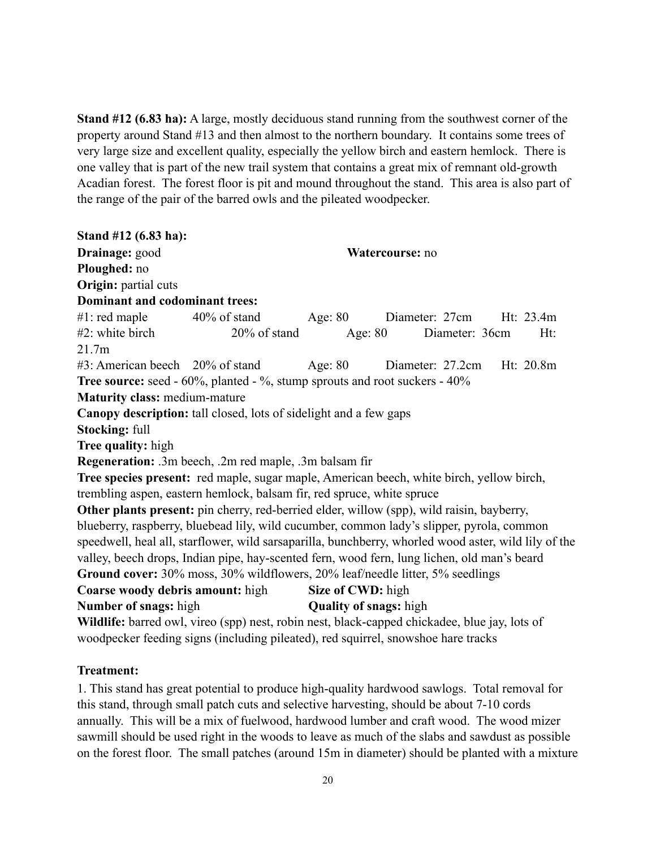**Stand #12 (6.83 ha):** A large, mostly deciduous stand running from the southwest corner of the property around Stand #13 and then almost to the northern boundary. It contains some trees of very large size and excellent quality, especially the yellow birch and eastern hemlock. There is one valley that is part of the new trail system that contains a great mix of remnant old-growth Acadian forest. The forest floor is pit and mound throughout the stand. This area is also part of the range of the pair of the barred owls and the pileated woodpecker.

**Stand #12 (6.83 ha): Drainage:** good **Watercourse:** no **Ploughed:** no **Origin:** partial cuts **Dominant and codominant trees:** #1: red maple 40% of stand Age: 80 Diameter: 27cm Ht: 23.4m #2: white birch 20% of stand Age: 80 Diameter: 36cm Ht: 21.7m #3: American beech 20% of stand Age: 80 Diameter: 27.2cm Ht: 20.8m **Tree source:** seed - 60%, planted - %, stump sprouts and root suckers - 40% **Maturity class:** medium-mature **Canopy description:** tall closed, lots of sidelight and a few gaps **Stocking:** full **Tree quality:** high **Regeneration:** .3m beech, .2m red maple, .3m balsam fir **Tree species present:** red maple, sugar maple, American beech, white birch, yellow birch, trembling aspen, eastern hemlock, balsam fir, red spruce, white spruce **Other plants present:** pin cherry, red-berried elder, willow (spp), wild raisin, bayberry, blueberry, raspberry, bluebead lily, wild cucumber, common lady's slipper, pyrola, common speedwell, heal all, starflower, wild sarsaparilla, bunchberry, whorled wood aster, wild lily of the valley, beech drops, Indian pipe, hay-scented fern, wood fern, lung lichen, old man's beard **Ground cover:** 30% moss, 30% wildflowers, 20% leaf/needle litter, 5% seedlings **Coarse woody debris amount:** high Size of CWD: high **Number of snags:** high **Quality of snags:** high **Wildlife:** barred owl, vireo (spp) nest, robin nest, black-capped chickadee, blue jay, lots of woodpecker feeding signs (including pileated), red squirrel, snowshoe hare tracks

### **Treatment:**

1. This stand has great potential to produce high-quality hardwood sawlogs. Total removal for this stand, through small patch cuts and selective harvesting, should be about 7-10 cords annually. This will be a mix of fuelwood, hardwood lumber and craft wood. The wood mizer sawmill should be used right in the woods to leave as much of the slabs and sawdust as possible on the forest floor. The small patches (around 15m in diameter) should be planted with a mixture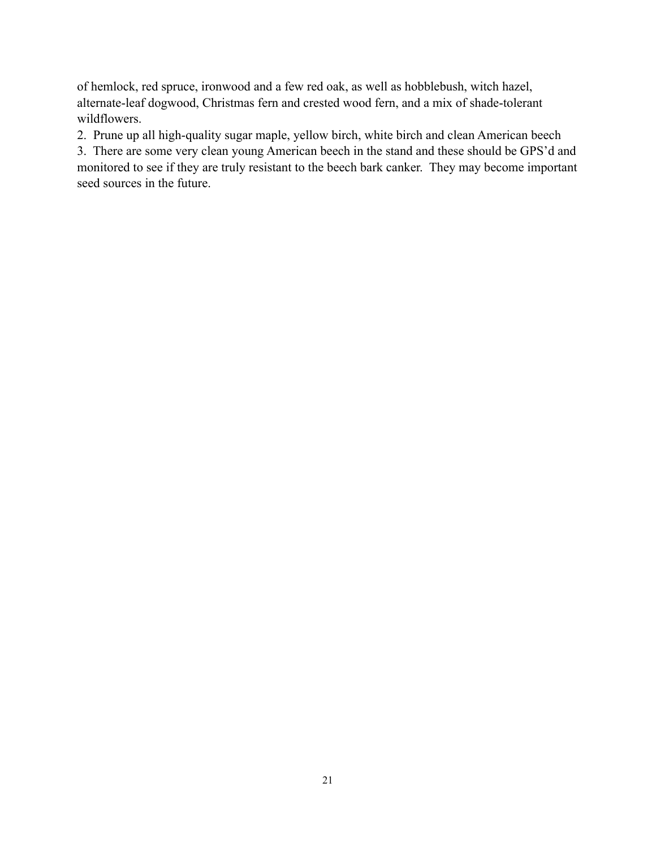of hemlock, red spruce, ironwood and a few red oak, as well as hobblebush, witch hazel, alternate-leaf dogwood, Christmas fern and crested wood fern, and a mix of shade-tolerant wildflowers.

2. Prune up all high-quality sugar maple, yellow birch, white birch and clean American beech

3. There are some very clean young American beech in the stand and these should be GPS'd and monitored to see if they are truly resistant to the beech bark canker. They may become important seed sources in the future.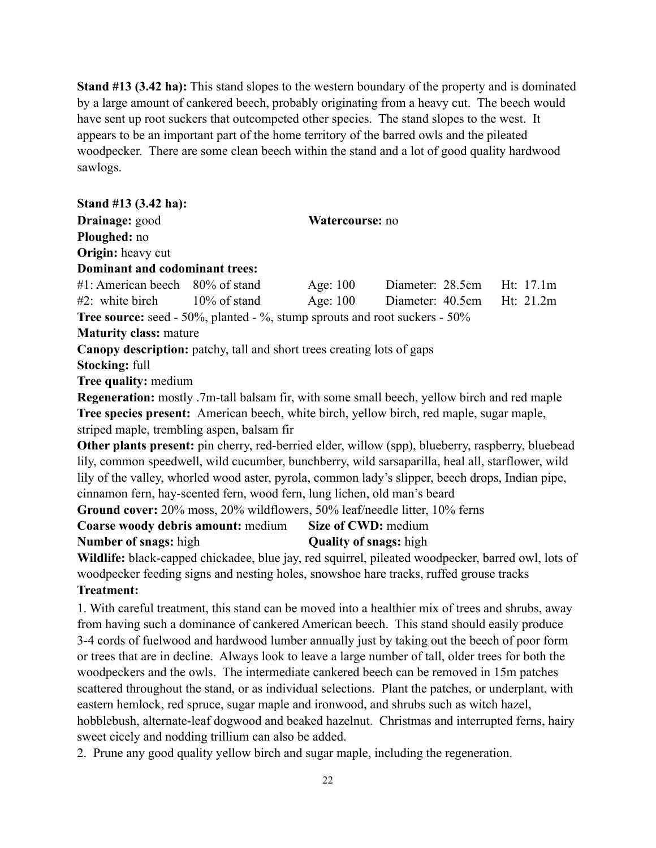**Stand #13 (3.42 ha):** This stand slopes to the western boundary of the property and is dominated by a large amount of cankered beech, probably originating from a heavy cut. The beech would have sent up root suckers that outcompeted other species. The stand slopes to the west. It appears to be an important part of the home territory of the barred owls and the pileated woodpecker. There are some clean beech within the stand and a lot of good quality hardwood sawlogs.

**Stand #13 (3.42 ha): Drainage:** good **Watercourse:** no **Ploughed:** no **Origin:** heavy cut **Dominant and codominant trees:** #1: American beech 80% of stand Age: 100 Diameter: 28.5cm Ht: 17.1m #2: white birch 10% of stand Age: 100 Diameter: 40.5cm Ht: 21.2m **Tree source:** seed - 50%, planted - %, stump sprouts and root suckers - 50% **Maturity class:** mature **Canopy description:** patchy, tall and short trees creating lots of gaps **Stocking:** full **Tree quality:** medium **Regeneration:** mostly .7m-tall balsam fir, with some small beech, yellow birch and red maple **Tree species present:** American beech, white birch, yellow birch, red maple, sugar maple, striped maple, trembling aspen, balsam fir **Other plants present:** pin cherry, red-berried elder, willow (spp), blueberry, raspberry, bluebead lily, common speedwell, wild cucumber, bunchberry, wild sarsaparilla, heal all, starflower, wild lily of the valley, whorled wood aster, pyrola, common lady's slipper, beech drops, Indian pipe, cinnamon fern, hay-scented fern, wood fern, lung lichen, old man's beard **Ground cover:** 20% moss, 20% wildflowers, 50% leaf/needle litter, 10% ferns **Coarse woody debris amount:** medium **Size of CWD:** medium **Number of snags:** high **Quality of snags:** high **Wildlife:** black-capped chickadee, blue jay, red squirrel, pileated woodpecker, barred owl, lots of woodpecker feeding signs and nesting holes, snowshoe hare tracks, ruffed grouse tracks **Treatment:**  1. With careful treatment, this stand can be moved into a healthier mix of trees and shrubs, away from having such a dominance of cankered American beech. This stand should easily produce 3-4 cords of fuelwood and hardwood lumber annually just by taking out the beech of poor form or trees that are in decline. Always look to leave a large number of tall, older trees for both the

woodpeckers and the owls. The intermediate cankered beech can be removed in 15m patches scattered throughout the stand, or as individual selections. Plant the patches, or underplant, with eastern hemlock, red spruce, sugar maple and ironwood, and shrubs such as witch hazel, hobblebush, alternate-leaf dogwood and beaked hazelnut. Christmas and interrupted ferns, hairy sweet cicely and nodding trillium can also be added.

2. Prune any good quality yellow birch and sugar maple, including the regeneration.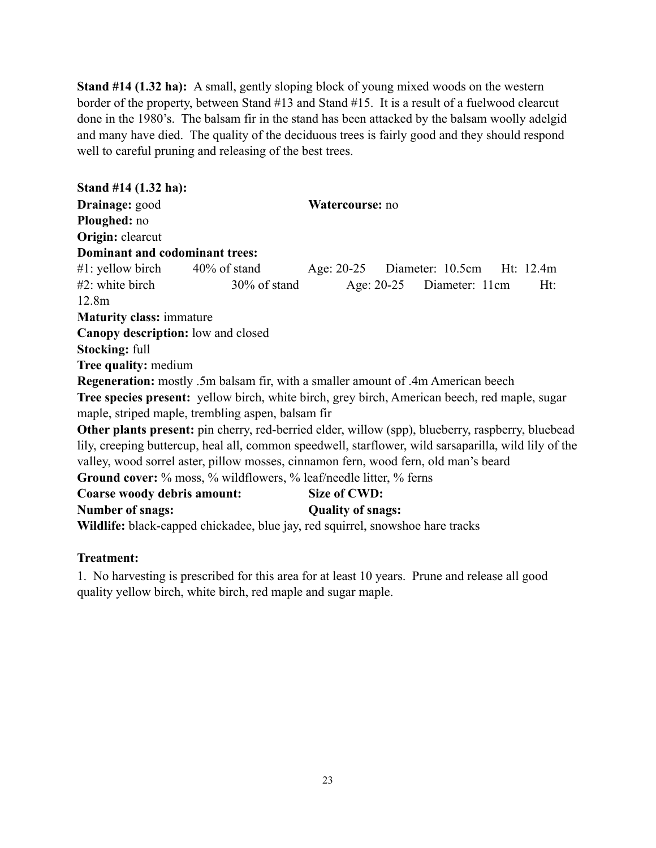**Stand #14 (1.32 ha):** A small, gently sloping block of young mixed woods on the western border of the property, between Stand #13 and Stand #15. It is a result of a fuelwood clearcut done in the 1980's. The balsam fir in the stand has been attacked by the balsam woolly adelgid and many have died. The quality of the deciduous trees is fairly good and they should respond well to careful pruning and releasing of the best trees.

**Stand #14 (1.32 ha): Drainage:** good **Watercourse:** no **Ploughed:** no **Origin:** clearcut **Dominant and codominant trees:** #1: yellow birch 40% of stand Age: 20-25 Diameter: 10.5cm Ht: 12.4m #2: white birch 30% of stand Age: 20-25 Diameter: 11cm Ht: 12.8m **Maturity class:** immature **Canopy description:** low and closed **Stocking:** full **Tree quality:** medium **Regeneration:** mostly .5m balsam fir, with a smaller amount of .4m American beech **Tree species present:** yellow birch, white birch, grey birch, American beech, red maple, sugar maple, striped maple, trembling aspen, balsam fir **Other plants present:** pin cherry, red-berried elder, willow (spp), blueberry, raspberry, bluebead lily, creeping buttercup, heal all, common speedwell, starflower, wild sarsaparilla, wild lily of the valley, wood sorrel aster, pillow mosses, cinnamon fern, wood fern, old man's beard Ground cover: % moss, % wildflowers, % leaf/needle litter, % ferns **Coarse woody debris amount: Size of CWD: Number of snags: Quality of snags: Wildlife:** black-capped chickadee, blue jay, red squirrel, snowshoe hare tracks

## **Treatment:**

1. No harvesting is prescribed for this area for at least 10 years. Prune and release all good quality yellow birch, white birch, red maple and sugar maple.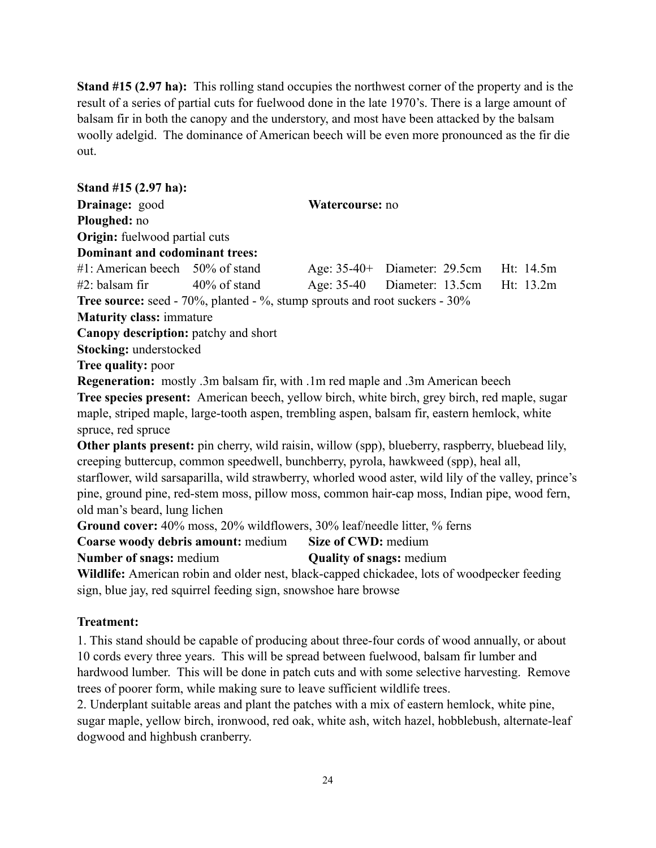**Stand #15 (2.97 ha):** This rolling stand occupies the northwest corner of the property and is the result of a series of partial cuts for fuelwood done in the late 1970's. There is a large amount of balsam fir in both the canopy and the understory, and most have been attacked by the balsam woolly adelgid. The dominance of American beech will be even more pronounced as the fir die out.

| Stand #15 (2.97 ha):                  |                                                                                                                                                                |                                 |                                |           |
|---------------------------------------|----------------------------------------------------------------------------------------------------------------------------------------------------------------|---------------------------------|--------------------------------|-----------|
| Drainage: good                        |                                                                                                                                                                | Watercourse: no                 |                                |           |
| Ploughed: no                          |                                                                                                                                                                |                                 |                                |           |
| Origin: fuelwood partial cuts         |                                                                                                                                                                |                                 |                                |           |
| <b>Dominant and codominant trees:</b> |                                                                                                                                                                |                                 |                                |           |
|                                       | #1: American beech 50% of stand                                                                                                                                |                                 | Age: $35-40+$ Diameter: 29.5cm | Ht: 14.5m |
| #2: balsam fir                        | $40\%$ of stand                                                                                                                                                |                                 | Age: 35-40 Diameter: 13.5cm    | Ht: 13.2m |
|                                       | <b>Tree source:</b> seed - $70\%$ , planted - $\%$ , stump sprouts and root suckers - $30\%$                                                                   |                                 |                                |           |
| <b>Maturity class: immature</b>       |                                                                                                                                                                |                                 |                                |           |
| Canopy description: patchy and short  |                                                                                                                                                                |                                 |                                |           |
| Stocking: understocked                |                                                                                                                                                                |                                 |                                |           |
| <b>Tree quality: poor</b>             |                                                                                                                                                                |                                 |                                |           |
|                                       | <b>Regeneration:</b> mostly .3m balsam fir, with .1m red maple and .3m American beech                                                                          |                                 |                                |           |
|                                       | Tree species present: American beech, yellow birch, white birch, grey birch, red maple, sugar                                                                  |                                 |                                |           |
| spruce, red spruce                    | maple, striped maple, large-tooth aspen, trembling aspen, balsam fir, eastern hemlock, white                                                                   |                                 |                                |           |
|                                       | Other plants present: pin cherry, wild raisin, willow (spp), blueberry, raspberry, bluebead lily,                                                              |                                 |                                |           |
|                                       | creeping buttercup, common speedwell, bunchberry, pyrola, hawkweed (spp), heal all,                                                                            |                                 |                                |           |
|                                       | starflower, wild sarsaparilla, wild strawberry, whorled wood aster, wild lily of the valley, prince's                                                          |                                 |                                |           |
|                                       | pine, ground pine, red-stem moss, pillow moss, common hair-cap moss, Indian pipe, wood fern,                                                                   |                                 |                                |           |
| old man's beard, lung lichen          |                                                                                                                                                                |                                 |                                |           |
|                                       | Ground cover: 40% moss, 20% wildflowers, 30% leaf/needle litter, % ferns                                                                                       |                                 |                                |           |
|                                       | <b>Coarse woody debris amount: medium</b>                                                                                                                      | Size of CWD: medium             |                                |           |
| <b>Number of snags: medium</b>        |                                                                                                                                                                | <b>Quality of snags: medium</b> |                                |           |
|                                       | Wildlife: American robin and older nest, black-capped chickadee, lots of woodpecker feeding<br>sign, blue jay, red squirrel feeding sign, snowshoe hare browse |                                 |                                |           |
|                                       |                                                                                                                                                                |                                 |                                |           |

### **Treatment:**

1. This stand should be capable of producing about three-four cords of wood annually, or about 10 cords every three years. This will be spread between fuelwood, balsam fir lumber and hardwood lumber. This will be done in patch cuts and with some selective harvesting. Remove trees of poorer form, while making sure to leave sufficient wildlife trees.

2. Underplant suitable areas and plant the patches with a mix of eastern hemlock, white pine, sugar maple, yellow birch, ironwood, red oak, white ash, witch hazel, hobblebush, alternate-leaf dogwood and highbush cranberry.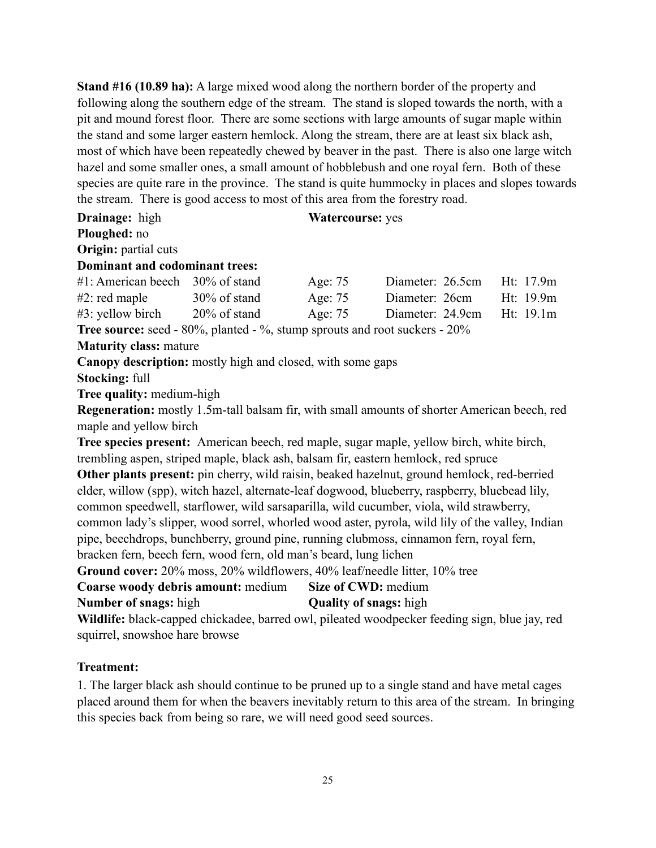**Stand #16 (10.89 ha):** A large mixed wood along the northern border of the property and following along the southern edge of the stream. The stand is sloped towards the north, with a pit and mound forest floor. There are some sections with large amounts of sugar maple within the stand and some larger eastern hemlock. Along the stream, there are at least six black ash, most of which have been repeatedly chewed by beaver in the past. There is also one large witch hazel and some smaller ones, a small amount of hobblebush and one royal fern. Both of these species are quite rare in the province. The stand is quite hummocky in places and slopes towards the stream. There is good access to most of this area from the forestry road.

**Drainage:** high **Watercourse: yes Ploughed:** no **Origin:** partial cuts **Dominant and codominant trees:** #1: American beech 30% of stand Age: 75 Diameter: 26.5cm Ht: 17.9m #2: red maple 30% of stand Age: 75 Diameter: 26cm Ht: 19.9m #3: yellow birch 20% of stand Age: 75 Diameter: 24.9cm Ht: 19.1m **Tree source:** seed - 80%, planted - %, stump sprouts and root suckers - 20% **Maturity class:** mature **Canopy description:** mostly high and closed, with some gaps **Stocking:** full **Tree quality:** medium-high **Regeneration:** mostly 1.5m-tall balsam fir, with small amounts of shorter American beech, red maple and yellow birch **Tree species present:** American beech, red maple, sugar maple, yellow birch, white birch, trembling aspen, striped maple, black ash, balsam fir, eastern hemlock, red spruce **Other plants present:** pin cherry, wild raisin, beaked hazelnut, ground hemlock, red-berried elder, willow (spp), witch hazel, alternate-leaf dogwood, blueberry, raspberry, bluebead lily, common speedwell, starflower, wild sarsaparilla, wild cucumber, viola, wild strawberry, common lady's slipper, wood sorrel, whorled wood aster, pyrola, wild lily of the valley, Indian pipe, beechdrops, bunchberry, ground pine, running clubmoss, cinnamon fern, royal fern, bracken fern, beech fern, wood fern, old man's beard, lung lichen **Ground cover:** 20% moss, 20% wildflowers, 40% leaf/needle litter, 10% tree **Coarse woody debris amount:** medium **Size of CWD:** medium **Number of snags:** high **Quality of snags:** high **Wildlife:** black-capped chickadee, barred owl, pileated woodpecker feeding sign, blue jay, red squirrel, snowshoe hare browse

#### **Treatment:**

1. The larger black ash should continue to be pruned up to a single stand and have metal cages placed around them for when the beavers inevitably return to this area of the stream. In bringing this species back from being so rare, we will need good seed sources.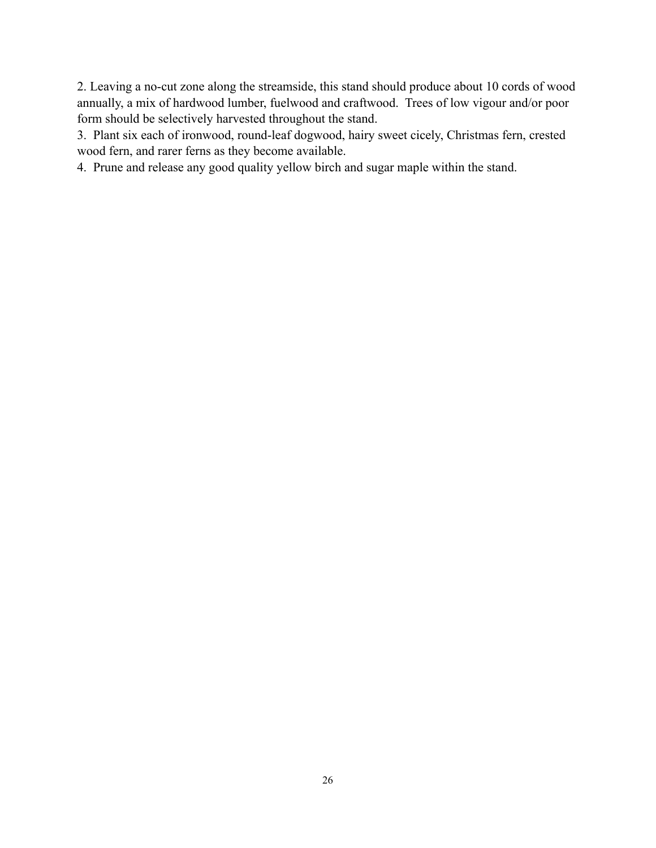2. Leaving a no-cut zone along the streamside, this stand should produce about 10 cords of wood annually, a mix of hardwood lumber, fuelwood and craftwood. Trees of low vigour and/or poor form should be selectively harvested throughout the stand.

3. Plant six each of ironwood, round-leaf dogwood, hairy sweet cicely, Christmas fern, crested wood fern, and rarer ferns as they become available.

4. Prune and release any good quality yellow birch and sugar maple within the stand.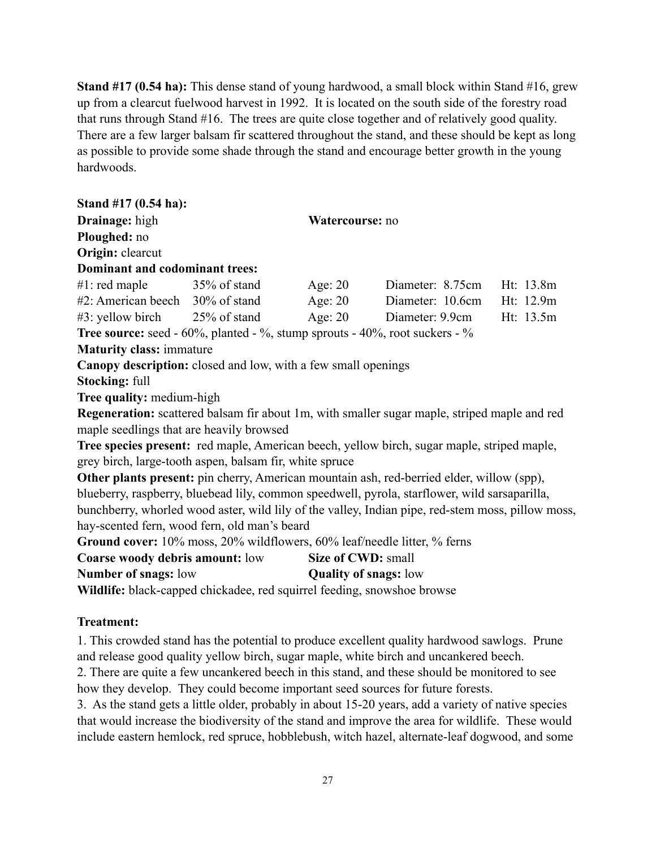**Stand #17 (0.54 ha):** This dense stand of young hardwood, a small block within Stand #16, grew up from a clearcut fuelwood harvest in 1992. It is located on the south side of the forestry road that runs through Stand #16. The trees are quite close together and of relatively good quality. There are a few larger balsam fir scattered throughout the stand, and these should be kept as long as possible to provide some shade through the stand and encourage better growth in the young hardwoods.

| Stand #17 (0.54 ha):                                                                              |                              |                                                                                                     |           |
|---------------------------------------------------------------------------------------------------|------------------------------|-----------------------------------------------------------------------------------------------------|-----------|
| Drainage: high                                                                                    | Watercourse: no              |                                                                                                     |           |
| Ploughed: no                                                                                      |                              |                                                                                                     |           |
| Origin: clearcut                                                                                  |                              |                                                                                                     |           |
| Dominant and codominant trees:                                                                    |                              |                                                                                                     |           |
| $#1$ : red maple $35\%$ of stand                                                                  | Age: 20                      | Diameter: 8.75cm Ht: 13.8m                                                                          |           |
| #2: American beech 30% of stand Age: 20                                                           |                              | Diameter: 10.6cm Ht: 12.9m                                                                          |           |
|                                                                                                   |                              | #3: yellow birch 25% of stand Age: 20 Diameter: 9.9cm                                               | Ht: 13.5m |
| <b>Tree source:</b> seed - $60\%$ , planted - $\%$ , stump sprouts - $40\%$ , root suckers - $\%$ |                              |                                                                                                     |           |
| <b>Maturity class: immature</b>                                                                   |                              |                                                                                                     |           |
| Canopy description: closed and low, with a few small openings                                     |                              |                                                                                                     |           |
| <b>Stocking: full</b>                                                                             |                              |                                                                                                     |           |
| Tree quality: medium-high                                                                         |                              |                                                                                                     |           |
|                                                                                                   |                              | <b>Regeneration:</b> scattered balsam fir about 1m, with smaller sugar maple, striped maple and red |           |
| maple seedlings that are heavily browsed                                                          |                              |                                                                                                     |           |
|                                                                                                   |                              | Tree species present: red maple, American beech, yellow birch, sugar maple, striped maple,          |           |
| grey birch, large-tooth aspen, balsam fir, white spruce                                           |                              |                                                                                                     |           |
|                                                                                                   |                              | Other plants present: pin cherry, American mountain ash, red-berried elder, willow (spp),           |           |
|                                                                                                   |                              | blueberry, raspberry, bluebead lily, common speedwell, pyrola, starflower, wild sarsaparilla,       |           |
|                                                                                                   |                              | bunchberry, whorled wood aster, wild lily of the valley, Indian pipe, red-stem moss, pillow moss,   |           |
| hay-scented fern, wood fern, old man's beard                                                      |                              |                                                                                                     |           |
| Ground cover: 10% moss, 20% wildflowers, 60% leaf/needle litter, % ferns                          |                              |                                                                                                     |           |
| <b>Coarse woody debris amount: low</b>                                                            | Size of CWD: small           |                                                                                                     |           |
| <b>Number of snags: low</b>                                                                       | <b>Quality of snags:</b> low |                                                                                                     |           |
| Wildlife: black-capped chickadee, red squirrel feeding, snowshoe browse                           |                              |                                                                                                     |           |

### **Treatment:**

1. This crowded stand has the potential to produce excellent quality hardwood sawlogs. Prune and release good quality yellow birch, sugar maple, white birch and uncankered beech.

2. There are quite a few uncankered beech in this stand, and these should be monitored to see how they develop. They could become important seed sources for future forests.

3. As the stand gets a little older, probably in about 15-20 years, add a variety of native species that would increase the biodiversity of the stand and improve the area for wildlife. These would include eastern hemlock, red spruce, hobblebush, witch hazel, alternate-leaf dogwood, and some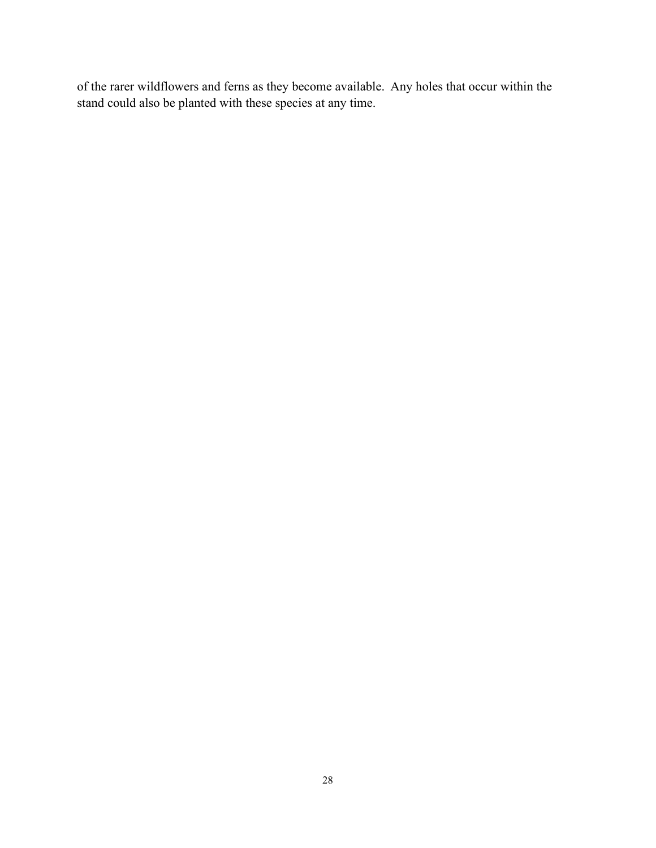of the rarer wildflowers and ferns as they become available. Any holes that occur within the stand could also be planted with these species at any time.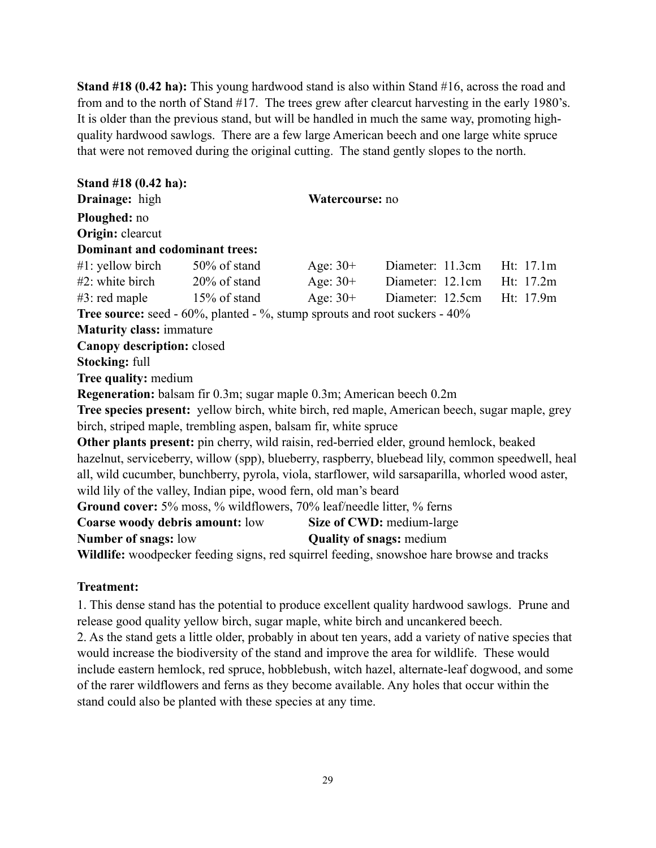**Stand #18 (0.42 ha):** This young hardwood stand is also within Stand #16, across the road and from and to the north of Stand #17.The trees grew after clearcut harvesting in the early 1980's. It is older than the previous stand, but will be handled in much the same way, promoting highquality hardwood sawlogs. There are a few large American beech and one large white spruce that were not removed during the original cutting. The stand gently slopes to the north.

| Stand #18 (0.42 ha):                                                                         |                 |                                                                                                   |  |
|----------------------------------------------------------------------------------------------|-----------------|---------------------------------------------------------------------------------------------------|--|
| Drainage: high                                                                               | Watercourse: no |                                                                                                   |  |
| Ploughed: no                                                                                 |                 |                                                                                                   |  |
| Origin: clearcut                                                                             |                 |                                                                                                   |  |
| Dominant and codominant trees:                                                               |                 |                                                                                                   |  |
| $\#1$ : yellow birch 50% of stand                                                            | Age: $30+$      | Diameter: 11.3cm Ht: 17.1m                                                                        |  |
| $#2$ : white birch $20\%$ of stand                                                           |                 | Age: 30+ Diameter: 12.1cm Ht: 17.2m                                                               |  |
| $#3$ : red maple $15\%$ of stand                                                             |                 | Age: 30+ Diameter: 12.5cm Ht: 17.9m                                                               |  |
| <b>Tree source:</b> seed - $60\%$ , planted - $\%$ , stump sprouts and root suckers - $40\%$ |                 |                                                                                                   |  |
| <b>Maturity class: immature</b>                                                              |                 |                                                                                                   |  |
| Canopy description: closed                                                                   |                 |                                                                                                   |  |
| <b>Stocking: full</b>                                                                        |                 |                                                                                                   |  |
| <b>Tree quality: medium</b>                                                                  |                 |                                                                                                   |  |
| <b>Regeneration:</b> balsam fir 0.3m; sugar maple 0.3m; American beech 0.2m                  |                 |                                                                                                   |  |
|                                                                                              |                 | Tree species present: yellow birch, white birch, red maple, American beech, sugar maple, grey     |  |
| birch, striped maple, trembling aspen, balsam fir, white spruce                              |                 |                                                                                                   |  |
|                                                                                              |                 | Other plants present: pin cherry, wild raisin, red-berried elder, ground hemlock, beaked          |  |
|                                                                                              |                 | hazelnut, serviceberry, willow (spp), blueberry, raspberry, bluebead lily, common speedwell, heal |  |
|                                                                                              |                 | all, wild cucumber, bunchberry, pyrola, viola, starflower, wild sarsaparilla, whorled wood aster, |  |
| wild lily of the valley, Indian pipe, wood fern, old man's beard                             |                 |                                                                                                   |  |
| Ground cover: 5% moss, % wildflowers, 70% leaf/needle litter, % ferns                        |                 |                                                                                                   |  |
| <b>Coarse woody debris amount:</b> low                                                       |                 | Size of CWD: medium-large                                                                         |  |
| <b>Number of snags: low</b>                                                                  |                 | <b>Quality of snags: medium</b>                                                                   |  |
|                                                                                              |                 | Wildlife: woodpecker feeding signs, red squirrel feeding, snowshoe hare browse and tracks         |  |

#### **Treatment:**

1. This dense stand has the potential to produce excellent quality hardwood sawlogs. Prune and release good quality yellow birch, sugar maple, white birch and uncankered beech. 2. As the stand gets a little older, probably in about ten years, add a variety of native species that would increase the biodiversity of the stand and improve the area for wildlife. These would

include eastern hemlock, red spruce, hobblebush, witch hazel, alternate-leaf dogwood, and some of the rarer wildflowers and ferns as they become available. Any holes that occur within the stand could also be planted with these species at any time.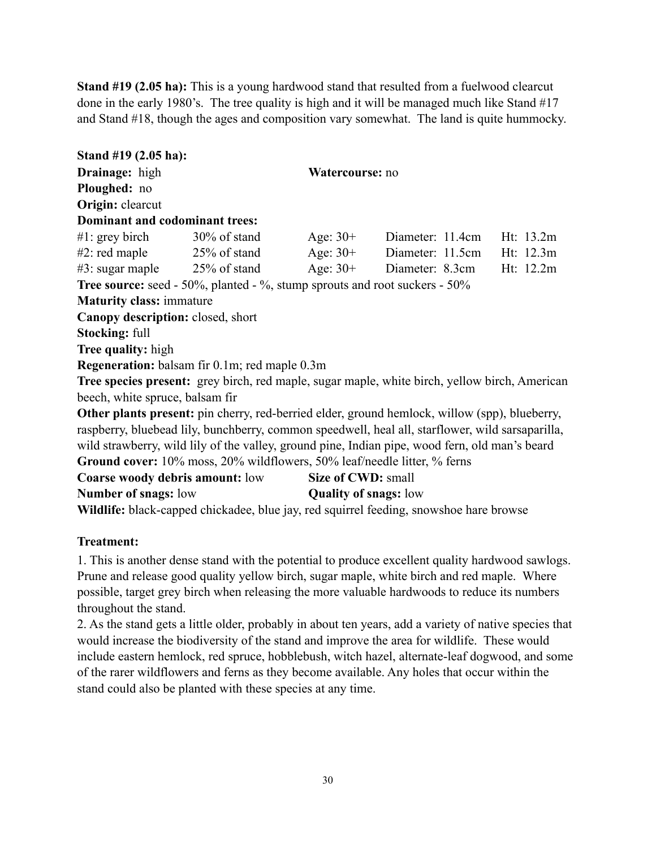**Stand #19 (2.05 ha):** This is a young hardwood stand that resulted from a fuelwood clearcut done in the early 1980's. The tree quality is high and it will be managed much like Stand #17 and Stand #18, though the ages and composition vary somewhat. The land is quite hummocky.

**Stand #19 (2.05 ha): Drainage:** high **Watercourse:** no **Ploughed:** no **Origin:** clearcut **Dominant and codominant trees:** #1: grey birch 30% of stand Age: 30+ Diameter: 11.4cm Ht: 13.2m #2: red maple 25% of stand Age: 30+ Diameter: 11.5cm Ht: 12.3m #3: sugar maple 25% of stand Age: 30+ Diameter: 8.3cm Ht: 12.2m **Tree source:** seed - 50%, planted - %, stump sprouts and root suckers - 50% **Maturity class:** immature **Canopy description:** closed, short **Stocking:** full **Tree quality:** high **Regeneration:** balsam fir 0.1m; red maple 0.3m **Tree species present:** grey birch, red maple, sugar maple, white birch, yellow birch, American beech, white spruce, balsam fir **Other plants present:** pin cherry, red-berried elder, ground hemlock, willow (spp), blueberry, raspberry, bluebead lily, bunchberry, common speedwell, heal all, starflower, wild sarsaparilla, wild strawberry, wild lily of the valley, ground pine, Indian pipe, wood fern, old man's beard **Ground cover:** 10% moss, 20% wildflowers, 50% leaf/needle litter, % ferns **Coarse woody debris amount:** low **Size of CWD:** small **Number of snags:** low **Quality of snags:** low **Wildlife:** black-capped chickadee, blue jay, red squirrel feeding, snowshoe hare browse

### **Treatment:**

1. This is another dense stand with the potential to produce excellent quality hardwood sawlogs. Prune and release good quality yellow birch, sugar maple, white birch and red maple. Where possible, target grey birch when releasing the more valuable hardwoods to reduce its numbers throughout the stand.

2. As the stand gets a little older, probably in about ten years, add a variety of native species that would increase the biodiversity of the stand and improve the area for wildlife. These would include eastern hemlock, red spruce, hobblebush, witch hazel, alternate-leaf dogwood, and some of the rarer wildflowers and ferns as they become available. Any holes that occur within the stand could also be planted with these species at any time.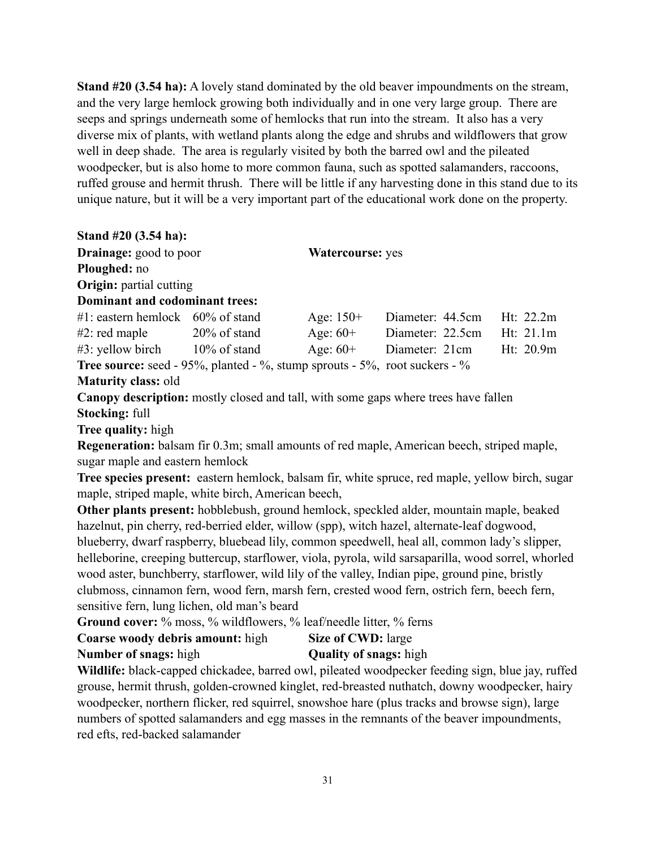**Stand #20 (3.54 ha):** A lovely stand dominated by the old beaver impoundments on the stream, and the very large hemlock growing both individually and in one very large group. There are seeps and springs underneath some of hemlocks that run into the stream. It also has a very diverse mix of plants, with wetland plants along the edge and shrubs and wildflowers that grow well in deep shade. The area is regularly visited by both the barred owl and the pileated woodpecker, but is also home to more common fauna, such as spotted salamanders, raccoons, ruffed grouse and hermit thrush. There will be little if any harvesting done in this stand due to its unique nature, but it will be a very important part of the educational work done on the property.

### **Stand #20 (3.54 ha):**

| <b>Drainage:</b> good to poor                                                     |                 |             | <b>Watercourse: yes</b> |             |  |  |
|-----------------------------------------------------------------------------------|-----------------|-------------|-------------------------|-------------|--|--|
| <b>Ploughed:</b> no                                                               |                 |             |                         |             |  |  |
| <b>Origin:</b> partial cutting                                                    |                 |             |                         |             |  |  |
| Dominant and codominant trees:                                                    |                 |             |                         |             |  |  |
| $#1$ : eastern hemlock 60% of stand                                               |                 | Age: $150+$ | Diameter: 44.5cm        | Ht: $22.2m$ |  |  |
| $#2$ : red maple                                                                  | $20\%$ of stand | Age: $60+$  | Diameter: 22.5cm        | Ht: $21.1m$ |  |  |
| $#3$ : yellow birch $10\%$ of stand                                               |                 | Age: $60+$  | Diameter: 21cm          | Ht: 20.9m   |  |  |
| <b>Tree source:</b> seed - 95%, planted - %, stump sprouts - 5%, root suckers - % |                 |             |                         |             |  |  |

**Maturity class:** old

**Canopy description:** mostly closed and tall, with some gaps where trees have fallen **Stocking:** full

**Tree quality:** high

**Regeneration:** balsam fir 0.3m; small amounts of red maple, American beech, striped maple, sugar maple and eastern hemlock

**Tree species present:** eastern hemlock, balsam fir, white spruce, red maple, yellow birch, sugar maple, striped maple, white birch, American beech,

**Other plants present:** hobblebush, ground hemlock, speckled alder, mountain maple, beaked hazelnut, pin cherry, red-berried elder, willow (spp), witch hazel, alternate-leaf dogwood, blueberry, dwarf raspberry, bluebead lily, common speedwell, heal all, common lady's slipper, helleborine, creeping buttercup, starflower, viola, pyrola, wild sarsaparilla, wood sorrel, whorled wood aster, bunchberry, starflower, wild lily of the valley, Indian pipe, ground pine, bristly clubmoss, cinnamon fern, wood fern, marsh fern, crested wood fern, ostrich fern, beech fern, sensitive fern, lung lichen, old man's beard

Ground cover: % moss, % wildflowers, % leaf/needle litter, % ferns

| Coarse woody debris amount: high | <b>Size of CWD:</b> large     |
|----------------------------------|-------------------------------|
| <b>Number of snags:</b> high     | <b>Quality of snags:</b> high |

**Wildlife:** black-capped chickadee, barred owl, pileated woodpecker feeding sign, blue jay, ruffed grouse, hermit thrush, golden-crowned kinglet, red-breasted nuthatch, downy woodpecker, hairy woodpecker, northern flicker, red squirrel, snowshoe hare (plus tracks and browse sign), large numbers of spotted salamanders and egg masses in the remnants of the beaver impoundments, red efts, red-backed salamander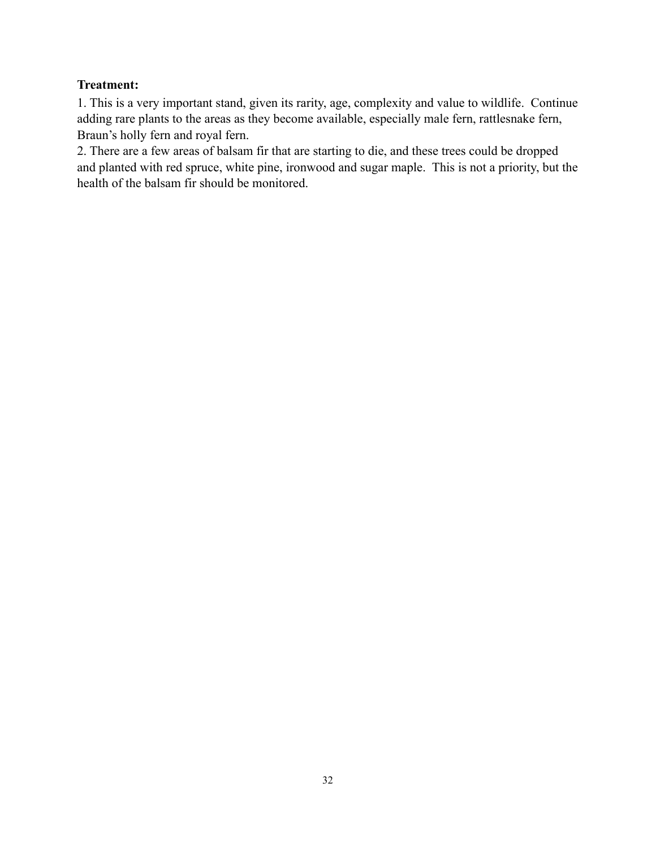# **Treatment:**

1. This is a very important stand, given its rarity, age, complexity and value to wildlife. Continue adding rare plants to the areas as they become available, especially male fern, rattlesnake fern, Braun's holly fern and royal fern.

2. There are a few areas of balsam fir that are starting to die, and these trees could be dropped and planted with red spruce, white pine, ironwood and sugar maple. This is not a priority, but the health of the balsam fir should be monitored.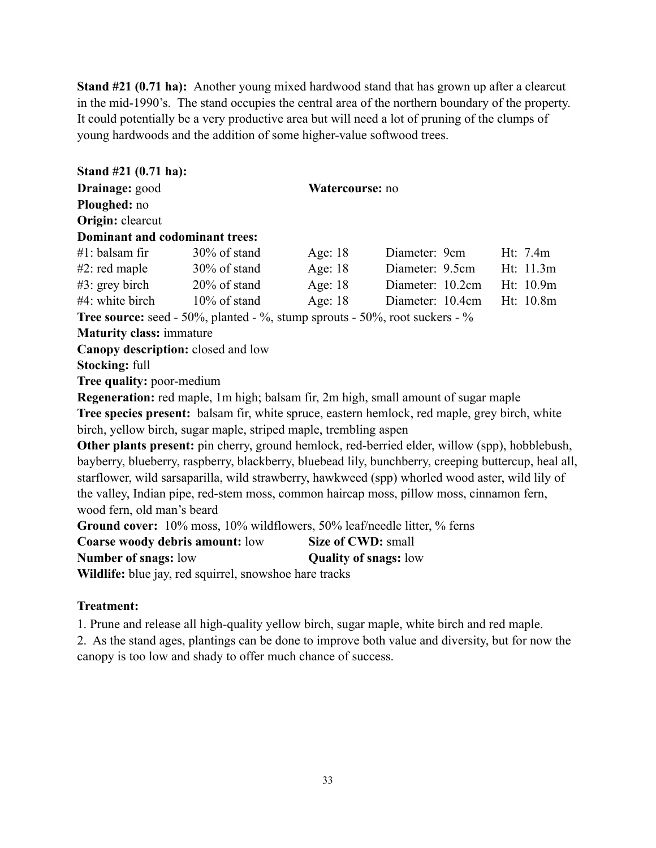**Stand #21 (0.71 ha):** Another young mixed hardwood stand that has grown up after a clearcut in the mid-1990's. The stand occupies the central area of the northern boundary of the property. It could potentially be a very productive area but will need a lot of pruning of the clumps of young hardwoods and the addition of some higher-value softwood trees.

**Stand #21 (0.71 ha): Drainage:** good **Watercourse:** no **Ploughed:** no **Origin:** clearcut **Dominant and codominant trees:** #1: balsam fir 30% of stand Age: 18 Diameter: 9cm Ht: 7.4m #2: red maple 30% of stand Age: 18 Diameter: 9.5cm Ht: 11.3m #3: grey birch 20% of stand Age: 18 Diameter: 10.2cm Ht: 10.9m #4: white birch 10% of stand Age: 18 Diameter: 10.4cm Ht: 10.8m **Tree source:** seed - 50%, planted - %, stump sprouts - 50%, root suckers - % **Maturity class:** immature **Canopy description:** closed and low **Stocking:** full **Tree quality:** poor-medium **Regeneration:** red maple, 1m high; balsam fir, 2m high, small amount of sugar maple **Tree species present:** balsam fir, white spruce, eastern hemlock, red maple, grey birch, white birch, yellow birch, sugar maple, striped maple, trembling aspen **Other plants present:** pin cherry, ground hemlock, red-berried elder, willow (spp), hobblebush, bayberry, blueberry, raspberry, blackberry, bluebead lily, bunchberry, creeping buttercup, heal all, starflower, wild sarsaparilla, wild strawberry, hawkweed (spp) whorled wood aster, wild lily of the valley, Indian pipe, red-stem moss, common haircap moss, pillow moss, cinnamon fern, wood fern, old man's beard **Ground cover:** 10% moss, 10% wildflowers, 50% leaf/needle litter, % ferns **Coarse woody debris amount:** low **Size of CWD:** small **Number of snags:** low **Quality of snags:** low

**Wildlife:** blue jay, red squirrel, snowshoe hare tracks

## **Treatment:**

1. Prune and release all high-quality yellow birch, sugar maple, white birch and red maple.

2. As the stand ages, plantings can be done to improve both value and diversity, but for now the canopy is too low and shady to offer much chance of success.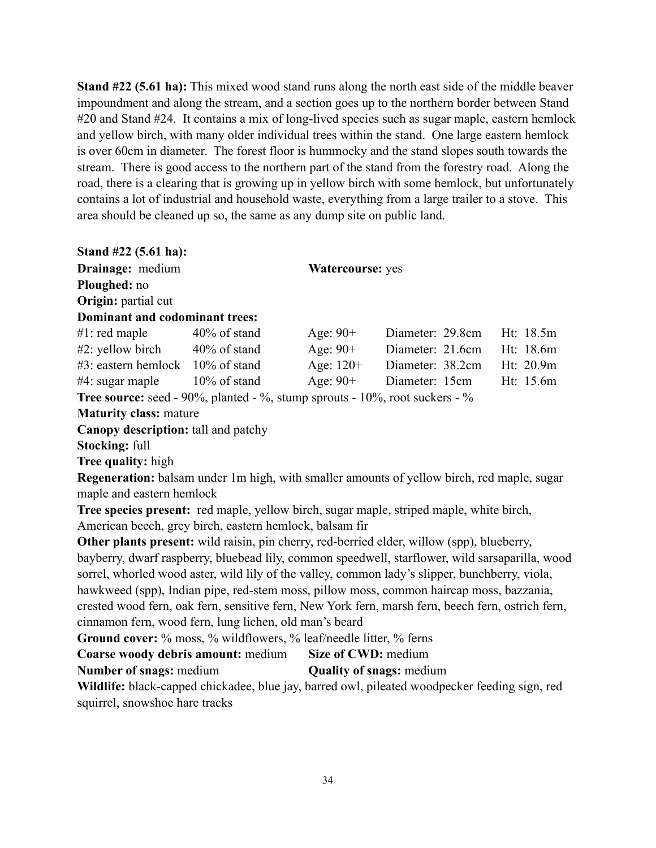**Stand #22 (5.61 ha):** This mixed wood stand runs along the north east side of the middle beaver impoundment and along the stream, and a section goes up to the northern border between Stand #20 and Stand #24. It contains a mix of long-lived species such as sugar maple, eastern hemlock and yellow birch, with many older individual trees within the stand. One large eastern hemlock is over 60cm in diameter. The forest floor is hummocky and the stand slopes south towards the stream. There is good access to the northern part of the stand from the forestry road. Along the road, there is a clearing that is growing up in yellow birch with some hemlock, but unfortunately contains a lot of industrial and household waste, everything from a large trailer to a stove. This area should be cleaned up so, the same as any dump site on public land.

| Stand $#22$ (5.61 ha):         |                 |                         |                  |           |  |
|--------------------------------|-----------------|-------------------------|------------------|-----------|--|
| Drainage: medium               |                 | <b>Watercourse:</b> yes |                  |           |  |
| Ploughed: no                   |                 |                         |                  |           |  |
| <b>Origin:</b> partial cut     |                 |                         |                  |           |  |
| Dominant and codominant trees: |                 |                         |                  |           |  |
| $#1$ : red maple               | $40\%$ of stand | Age: $90+$              | Diameter: 29.8cm | Ht: 18.5m |  |
| $#2$ : yellow birch            | $40\%$ of stand | Age: $90+$              | Diameter: 21.6cm | Ht: 18.6m |  |
| $#3$ : eastern hemlock         | $10\%$ of stand | Age: $120+$             | Diameter: 38.2cm | Ht: 20.9m |  |
| $#4$ : sugar maple             | $10\%$ of stand | Age: $90+$              | Diameter: 15cm   | Ht: 15.6m |  |
|                                |                 |                         |                  |           |  |

**Tree source:** seed - 90%, planted - %, stump sprouts - 10%, root suckers - %

**Maturity class:** mature

**Canopy description:** tall and patchy

**Stocking:** full

**Tree quality:** high

**Regeneration:** balsam under 1m high, with smaller amounts of yellow birch, red maple, sugar maple and eastern hemlock

**Tree species present:** red maple, yellow birch, sugar maple, striped maple, white birch, American beech, grey birch, eastern hemlock, balsam fir

**Other plants present:** wild raisin, pin cherry, red-berried elder, willow (spp), blueberry, bayberry, dwarf raspberry, bluebead lily, common speedwell, starflower, wild sarsaparilla, wood sorrel, whorled wood aster, wild lily of the valley, common lady's slipper, bunchberry, viola, hawkweed (spp), Indian pipe, red-stem moss, pillow moss, common haircap moss, bazzania, crested wood fern, oak fern, sensitive fern, New York fern, marsh fern, beech fern, ostrich fern, cinnamon fern, wood fern, lung lichen, old man's beard

Ground cover: % moss, % wildflowers, % leaf/needle litter, % ferns

| Coarse woody debris amount: medium | <b>Size of CWD: medium</b> |
|------------------------------------|----------------------------|
|------------------------------------|----------------------------|

**Number of snags:** medium **Quality of snags:** medium

**Wildlife:** black-capped chickadee, blue jay, barred owl, pileated woodpecker feeding sign, red squirrel, snowshoe hare tracks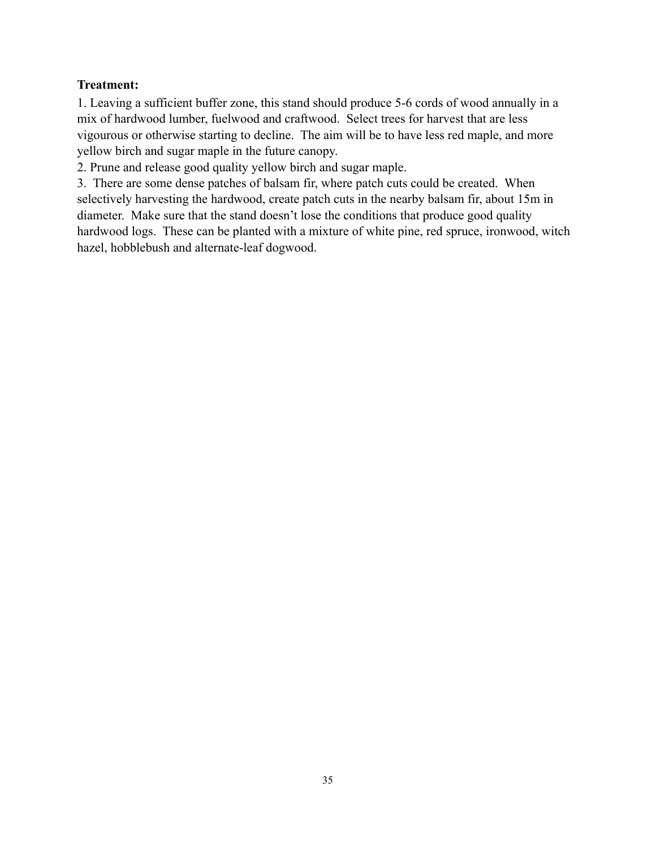## **Treatment:**

1. Leaving a sufficient buffer zone, this stand should produce 5-6 cords of wood annually in a mix of hardwood lumber, fuelwood and craftwood. Select trees for harvest that are less vigourous or otherwise starting to decline. The aim will be to have less red maple, and more yellow birch and sugar maple in the future canopy.

2. Prune and release good quality yellow birch and sugar maple.

3. There are some dense patches of balsam fir, where patch cuts could be created. When selectively harvesting the hardwood, create patch cuts in the nearby balsam fir, about 15m in diameter. Make sure that the stand doesn't lose the conditions that produce good quality hardwood logs. These can be planted with a mixture of white pine, red spruce, ironwood, witch hazel, hobblebush and alternate-leaf dogwood.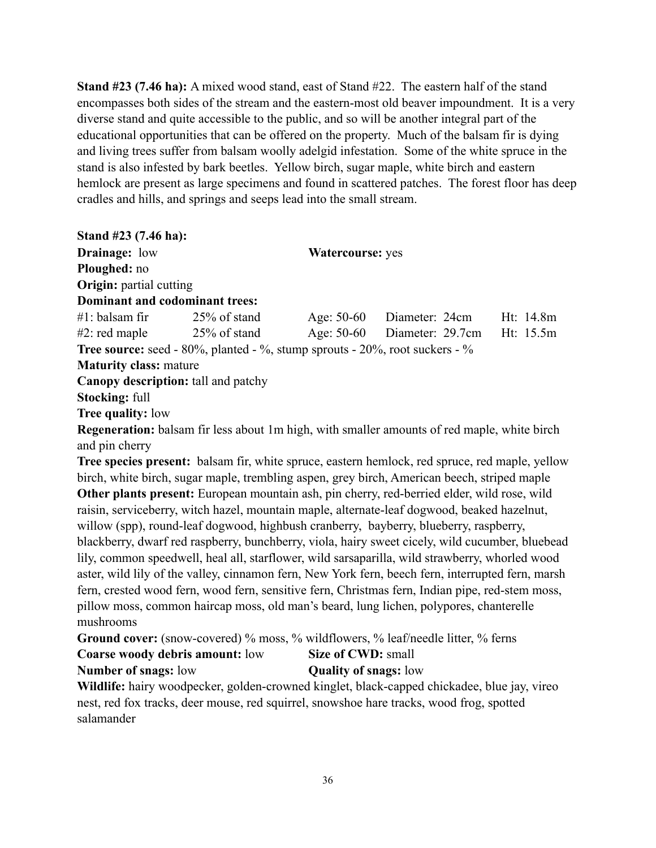**Stand #23 (7.46 ha):** A mixed wood stand, east of Stand #22. The eastern half of the stand encompasses both sides of the stream and the eastern-most old beaver impoundment. It is a very diverse stand and quite accessible to the public, and so will be another integral part of the educational opportunities that can be offered on the property. Much of the balsam fir is dying and living trees suffer from balsam woolly adelgid infestation. Some of the white spruce in the stand is also infested by bark beetles. Yellow birch, sugar maple, white birch and eastern hemlock are present as large specimens and found in scattered patches. The forest floor has deep cradles and hills, and springs and seeps lead into the small stream.

| Stand $#23$ (7.46 ha):         |                                                                                                   |                                       |           |  |
|--------------------------------|---------------------------------------------------------------------------------------------------|---------------------------------------|-----------|--|
| <b>Drainage:</b> low           |                                                                                                   | <b>Watercourse:</b> yes               |           |  |
| <b>Ploughed:</b> no            |                                                                                                   |                                       |           |  |
| <b>Origin:</b> partial cutting |                                                                                                   |                                       |           |  |
| Dominant and codominant trees: |                                                                                                   |                                       |           |  |
| #1: balsam fir                 | 25% of stand                                                                                      | Age: 50-60 Diameter: 24cm             | Ht: 14.8m |  |
| $#2$ : red maple               | $25\%$ of stand                                                                                   | Age: 50-60 Diameter: 29.7cm Ht: 15.5m |           |  |
|                                | <b>Tree source:</b> seed - $80\%$ , planted - $\%$ , stump sprouts - $20\%$ , root suckers - $\%$ |                                       |           |  |
| <b>Maturity class: mature</b>  |                                                                                                   |                                       |           |  |
|                                | <b>Canopy description:</b> tall and patchy                                                        |                                       |           |  |
| <b>Stocking: full</b>          |                                                                                                   |                                       |           |  |
| <b>Tree quality: low</b>       |                                                                                                   |                                       |           |  |
|                                |                                                                                                   |                                       |           |  |

**Regeneration:** balsam fir less about 1m high, with smaller amounts of red maple, white birch and pin cherry

**Tree species present:** balsam fir, white spruce, eastern hemlock, red spruce, red maple, yellow birch, white birch, sugar maple, trembling aspen, grey birch, American beech, striped maple **Other plants present:** European mountain ash, pin cherry, red-berried elder, wild rose, wild raisin, serviceberry, witch hazel, mountain maple, alternate-leaf dogwood, beaked hazelnut, willow (spp), round-leaf dogwood, highbush cranberry, bayberry, blueberry, raspberry, blackberry, dwarf red raspberry, bunchberry, viola, hairy sweet cicely, wild cucumber, bluebead lily, common speedwell, heal all, starflower, wild sarsaparilla, wild strawberry, whorled wood aster, wild lily of the valley, cinnamon fern, New York fern, beech fern, interrupted fern, marsh fern, crested wood fern, wood fern, sensitive fern, Christmas fern, Indian pipe, red-stem moss, pillow moss, common haircap moss, old man's beard, lung lichen, polypores, chanterelle mushrooms

Ground cover: (snow-covered) % moss, % wildflowers, % leaf/needle litter, % ferns

# **Coarse woody debris amount:** low **Size of CWD:** small

### **Number of snags:** low **Quality of snags:** low

**Wildlife:** hairy woodpecker, golden-crowned kinglet, black-capped chickadee, blue jay, vireo nest, red fox tracks, deer mouse, red squirrel, snowshoe hare tracks, wood frog, spotted salamander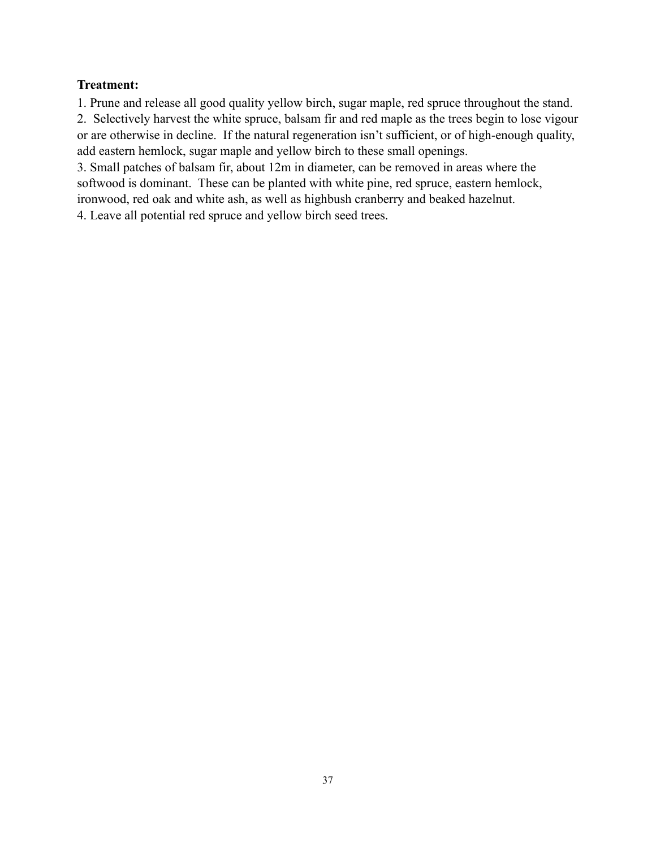## **Treatment:**

1. Prune and release all good quality yellow birch, sugar maple, red spruce throughout the stand.

2. Selectively harvest the white spruce, balsam fir and red maple as the trees begin to lose vigour or are otherwise in decline. If the natural regeneration isn't sufficient, or of high-enough quality, add eastern hemlock, sugar maple and yellow birch to these small openings.

3. Small patches of balsam fir, about 12m in diameter, can be removed in areas where the softwood is dominant. These can be planted with white pine, red spruce, eastern hemlock, ironwood, red oak and white ash, as well as highbush cranberry and beaked hazelnut.

4. Leave all potential red spruce and yellow birch seed trees.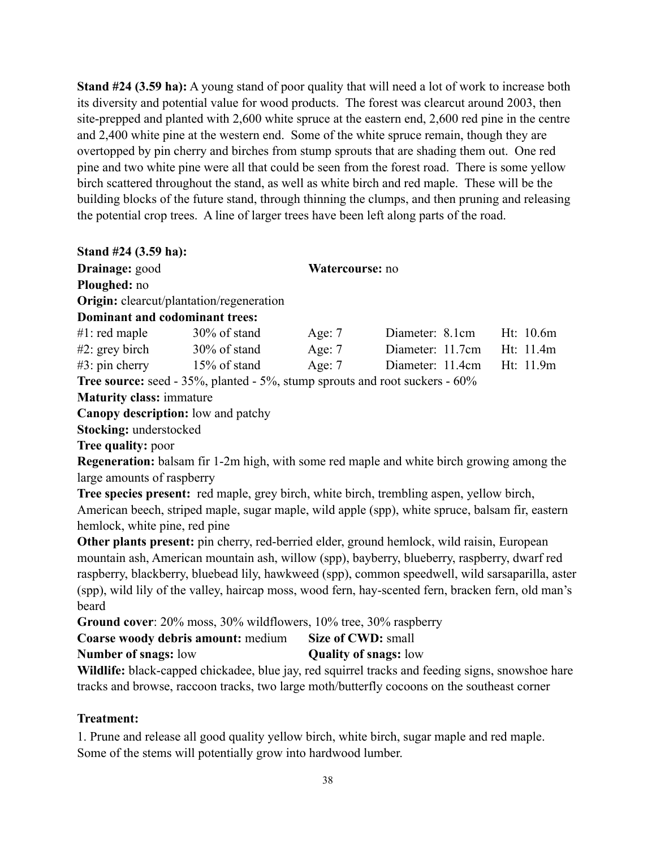**Stand #24 (3.59 ha):** A young stand of poor quality that will need a lot of work to increase both its diversity and potential value for wood products. The forest was clearcut around 2003, then site-prepped and planted with 2,600 white spruce at the eastern end, 2,600 red pine in the centre and 2,400 white pine at the western end. Some of the white spruce remain, though they are overtopped by pin cherry and birches from stump sprouts that are shading them out. One red pine and two white pine were all that could be seen from the forest road. There is some yellow birch scattered throughout the stand, as well as white birch and red maple. These will be the building blocks of the future stand, through thinning the clumps, and then pruning and releasing the potential crop trees. A line of larger trees have been left along parts of the road.

**Stand #24 (3.59 ha):**

| Drainage: good                                                                     |                                                 | Watercourse: no |                  |           |
|------------------------------------------------------------------------------------|-------------------------------------------------|-----------------|------------------|-----------|
| Ploughed: no                                                                       |                                                 |                 |                  |           |
|                                                                                    | <b>Origin:</b> clearcut/plantation/regeneration |                 |                  |           |
| Dominant and codominant trees:                                                     |                                                 |                 |                  |           |
| $#1$ : red maple                                                                   | 30% of stand                                    | Age: $7$        | Diameter: 8.1cm  | Ht: 10.6m |
| $#2$ : grey birch                                                                  | $30\%$ of stand                                 | Age: $7$        | Diameter: 11.7cm | Ht: 11.4m |
| $#3$ : pin cherry                                                                  | 15% of stand                                    | Age: $7$        | Diameter: 11.4cm | Ht: 11.9m |
| <b>Tree source:</b> seed - 35%, planted - 5%, stump sprouts and root suckers - 60% |                                                 |                 |                  |           |
| Maturity algebra improvement                                                       |                                                 |                 |                  |           |

**Maturity class:** immature

**Canopy description:** low and patchy

**Stocking:** understocked

**Tree quality:** poor

**Regeneration:** balsam fir 1-2m high, with some red maple and white birch growing among the large amounts of raspberry

**Tree species present:** red maple, grey birch, white birch, trembling aspen, yellow birch, American beech, striped maple, sugar maple, wild apple (spp), white spruce, balsam fir, eastern hemlock, white pine, red pine

**Other plants present:** pin cherry, red-berried elder, ground hemlock, wild raisin, European mountain ash, American mountain ash, willow (spp), bayberry, blueberry, raspberry, dwarf red raspberry, blackberry, bluebead lily, hawkweed (spp), common speedwell, wild sarsaparilla, aster (spp), wild lily of the valley, haircap moss, wood fern, hay-scented fern, bracken fern, old man's beard

**Ground cover**: 20% moss, 30% wildflowers, 10% tree, 30% raspberry

| Coarse woody debris amount: medium | Size of CWD: small           |
|------------------------------------|------------------------------|
| <b>Number of snags: low</b>        | <b>Quality of snags:</b> low |

**Wildlife:** black-capped chickadee, blue jay, red squirrel tracks and feeding signs, snowshoe hare tracks and browse, raccoon tracks, two large moth/butterfly cocoons on the southeast corner

# **Treatment:**

1. Prune and release all good quality yellow birch, white birch, sugar maple and red maple. Some of the stems will potentially grow into hardwood lumber.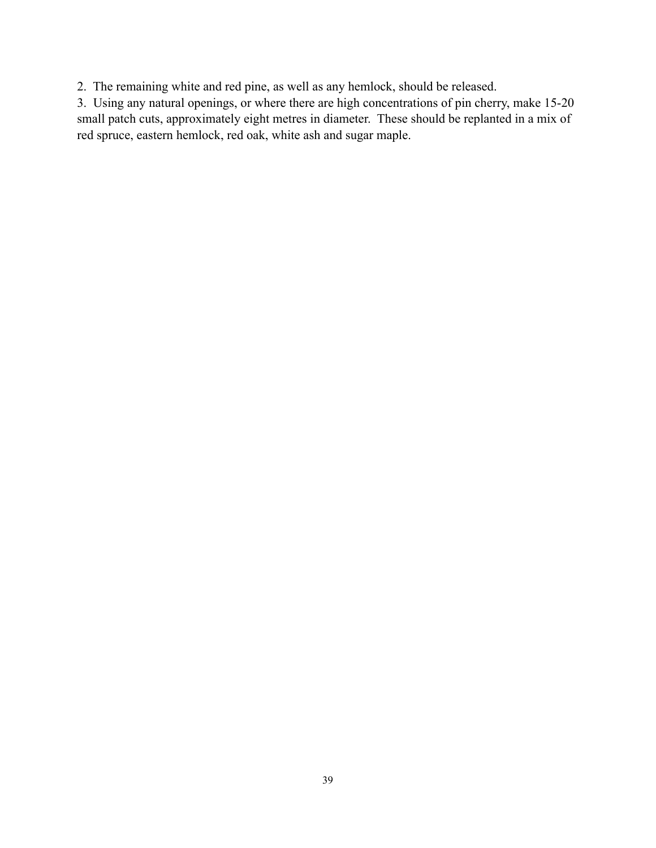2. The remaining white and red pine, as well as any hemlock, should be released.

3. Using any natural openings, or where there are high concentrations of pin cherry, make 15-20 small patch cuts, approximately eight metres in diameter. These should be replanted in a mix of red spruce, eastern hemlock, red oak, white ash and sugar maple.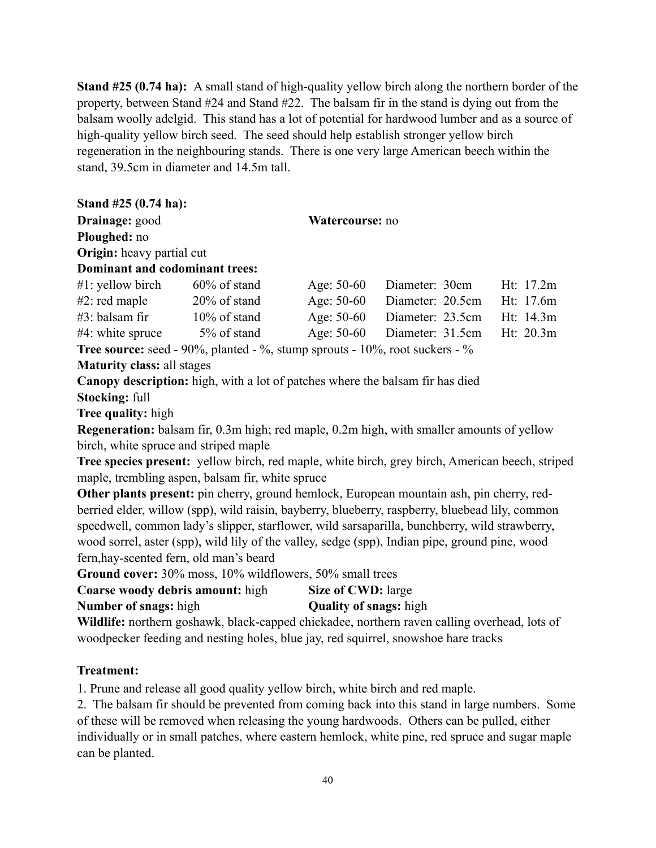**Stand #25 (0.74 ha):** A small stand of high-quality yellow birch along the northern border of the property, between Stand #24 and Stand #22. The balsam fir in the stand is dying out from the balsam woolly adelgid. This stand has a lot of potential for hardwood lumber and as a source of high-quality yellow birch seed. The seed should help establish stronger yellow birch regeneration in the neighbouring stands. There is one very large American beech within the stand, 39.5cm in diameter and 14.5m tall.

| Stand #25 (0.74 ha):                    |                                                                                        |                    |                                                                                                  |           |  |
|-----------------------------------------|----------------------------------------------------------------------------------------|--------------------|--------------------------------------------------------------------------------------------------|-----------|--|
| Drainage: good                          |                                                                                        | Watercourse: no    |                                                                                                  |           |  |
| Ploughed: no                            |                                                                                        |                    |                                                                                                  |           |  |
| Origin: heavy partial cut               |                                                                                        |                    |                                                                                                  |           |  |
| <b>Dominant and codominant trees:</b>   |                                                                                        |                    |                                                                                                  |           |  |
|                                         | $#1$ : yellow birch 60% of stand                                                       | Age: 50-60         | Diameter: 30cm                                                                                   | Ht: 17.2m |  |
|                                         | $#2$ : red maple $20\%$ of stand                                                       | Age: 50-60         | Diameter: 20.5cm                                                                                 | Ht: 17.6m |  |
|                                         | $#3$ : balsam fir $10\%$ of stand                                                      | Age: 50-60         | Diameter: 23.5cm                                                                                 | Ht: 14.3m |  |
|                                         | $#4$ : white spruce $5\%$ of stand Age: 50-60                                          |                    | Diameter: 31.5cm                                                                                 | Ht: 20.3m |  |
|                                         | <b>Tree source:</b> seed - 90%, planted - %, stump sprouts - $10\%$ , root suckers - % |                    |                                                                                                  |           |  |
| <b>Maturity class: all stages</b>       |                                                                                        |                    |                                                                                                  |           |  |
|                                         | <b>Canopy description:</b> high, with a lot of patches where the balsam fir has died   |                    |                                                                                                  |           |  |
| Stocking: full                          |                                                                                        |                    |                                                                                                  |           |  |
| Tree quality: high                      |                                                                                        |                    |                                                                                                  |           |  |
|                                         |                                                                                        |                    | <b>Regeneration:</b> balsam fir, 0.3m high; red maple, 0.2m high, with smaller amounts of yellow |           |  |
| birch, white spruce and striped maple   |                                                                                        |                    |                                                                                                  |           |  |
|                                         |                                                                                        |                    | Tree species present: yellow birch, red maple, white birch, grey birch, American beech, striped  |           |  |
|                                         | maple, trembling aspen, balsam fir, white spruce                                       |                    |                                                                                                  |           |  |
|                                         |                                                                                        |                    | Other plants present: pin cherry, ground hemlock, European mountain ash, pin cherry, red-        |           |  |
|                                         |                                                                                        |                    | berried elder, willow (spp), wild raisin, bayberry, blueberry, raspberry, bluebead lily, common  |           |  |
|                                         |                                                                                        |                    | speedwell, common lady's slipper, starflower, wild sarsaparilla, bunchberry, wild strawberry,    |           |  |
|                                         |                                                                                        |                    | wood sorrel, aster (spp), wild lily of the valley, sedge (spp), Indian pipe, ground pine, wood   |           |  |
| fern, hay-scented fern, old man's beard |                                                                                        |                    |                                                                                                  |           |  |
|                                         | Ground cover: 30% moss, 10% wildflowers, 50% small trees                               |                    |                                                                                                  |           |  |
| Coarse woody debris amount: high        |                                                                                        | Size of CWD: large |                                                                                                  |           |  |

**Number of snags:** high **Quality of snags:** high

Wildlife: northern goshawk, black-capped chickadee, northern raven calling overhead, lots of woodpecker feeding and nesting holes, blue jay, red squirrel, snowshoe hare tracks

## **Treatment:**

1. Prune and release all good quality yellow birch, white birch and red maple.

2. The balsam fir should be prevented from coming back into this stand in large numbers. Some of these will be removed when releasing the young hardwoods. Others can be pulled, either individually or in small patches, where eastern hemlock, white pine, red spruce and sugar maple can be planted.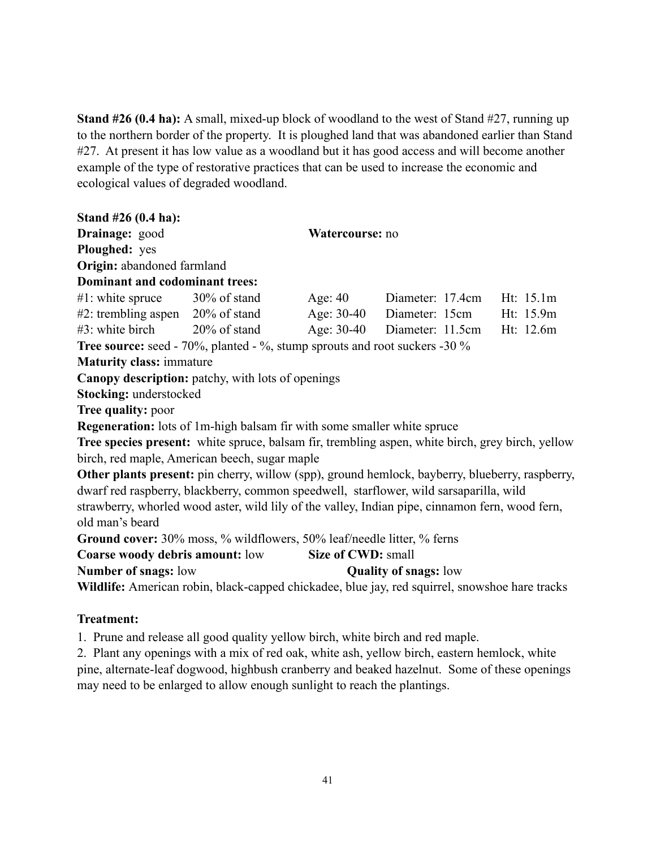**Stand #26 (0.4 ha):** A small, mixed-up block of woodland to the west of Stand #27, running up to the northern border of the property. It is ploughed land that was abandoned earlier than Stand #27. At present it has low value as a woodland but it has good access and will become another example of the type of restorative practices that can be used to increase the economic and ecological values of degraded woodland.

| Stand $#26(0.4 \text{ ha})$ :                                                     |                 |           |                                                                                                        |  |
|-----------------------------------------------------------------------------------|-----------------|-----------|--------------------------------------------------------------------------------------------------------|--|
| Drainage: good                                                                    | Watercourse: no |           |                                                                                                        |  |
| Ploughed: yes                                                                     |                 |           |                                                                                                        |  |
| Origin: abandoned farmland                                                        |                 |           |                                                                                                        |  |
| Dominant and codominant trees:                                                    |                 |           |                                                                                                        |  |
| #1: white spruce $30\%$ of stand                                                  |                 | Age: $40$ | Diameter: 17.4cm Ht: 15.1m                                                                             |  |
| $#2$ : trembling aspen $20\%$ of stand                                            |                 |           | Age: 30-40 Diameter: 15cm Ht: 15.9m                                                                    |  |
| $\#3$ : white birch $20\%$ of stand                                               |                 |           | Age: 30-40 Diameter: 11.5cm Ht: 12.6m                                                                  |  |
| <b>Tree source:</b> seed - 70%, planted - %, stump sprouts and root suckers -30 % |                 |           |                                                                                                        |  |
| <b>Maturity class: immature</b>                                                   |                 |           |                                                                                                        |  |
| <b>Canopy description:</b> patchy, with lots of openings                          |                 |           |                                                                                                        |  |
| Stocking: understocked                                                            |                 |           |                                                                                                        |  |
| Tree quality: poor                                                                |                 |           |                                                                                                        |  |
| <b>Regeneration:</b> lots of 1m-high balsam fir with some smaller white spruce    |                 |           |                                                                                                        |  |
|                                                                                   |                 |           | Tree species present: white spruce, balsam fir, trembling aspen, white birch, grey birch, yellow       |  |
| birch, red maple, American beech, sugar maple                                     |                 |           |                                                                                                        |  |
|                                                                                   |                 |           | <b>Other plants present:</b> pin cherry, willow (spp), ground hemlock, bayberry, blueberry, raspberry, |  |
|                                                                                   |                 |           | dwarf red raspberry, blackberry, common speedwell, starflower, wild sarsaparilla, wild                 |  |
|                                                                                   |                 |           | strawberry, whorled wood aster, wild lily of the valley, Indian pipe, cinnamon fern, wood fern,        |  |
| old man's beard                                                                   |                 |           |                                                                                                        |  |
| Ground cover: 30% moss, % wildflowers, 50% leaf/needle litter, % ferns            |                 |           |                                                                                                        |  |
| <b>Coarse woody debris amount:</b> low Size of CWD: small                         |                 |           |                                                                                                        |  |
| Number of snags: low                                                              |                 |           | <b>Quality of snags: low</b>                                                                           |  |
|                                                                                   |                 |           | Wildlife: American robin, black-capped chickadee, blue jay, red squirrel, snowshoe hare tracks         |  |
|                                                                                   |                 |           |                                                                                                        |  |

## **Treatment:**

1. Prune and release all good quality yellow birch, white birch and red maple.

2. Plant any openings with a mix of red oak, white ash, yellow birch, eastern hemlock, white pine, alternate-leaf dogwood, highbush cranberry and beaked hazelnut. Some of these openings may need to be enlarged to allow enough sunlight to reach the plantings.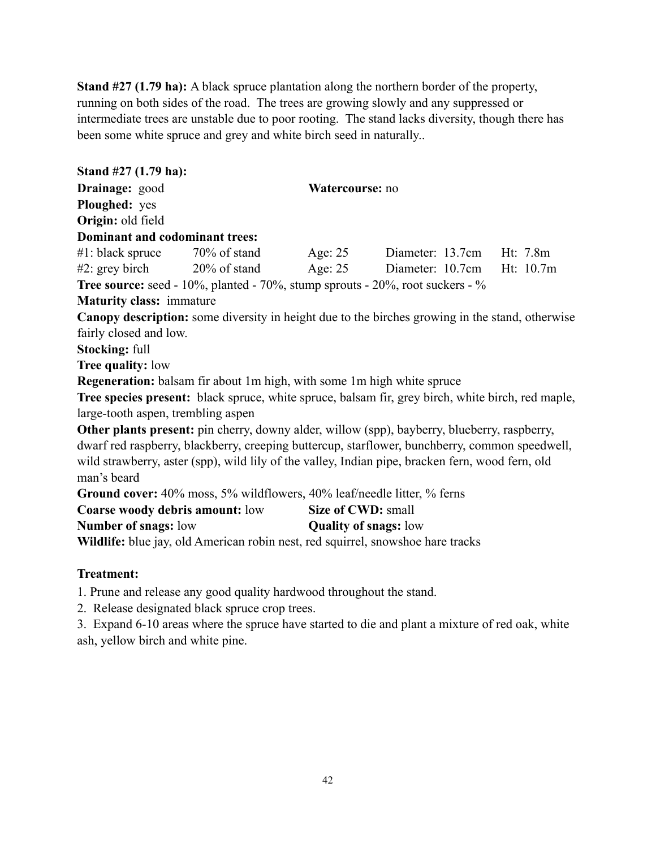**Stand #27 (1.79 ha):** A black spruce plantation along the northern border of the property, running on both sides of the road. The trees are growing slowly and any suppressed or intermediate trees are unstable due to poor rooting. The stand lacks diversity, though there has been some white spruce and grey and white birch seed in naturally..

| Stand #27 (1.79 ha):               |                                                                               |  |                                                                                                                                                                                                    |           |
|------------------------------------|-------------------------------------------------------------------------------|--|----------------------------------------------------------------------------------------------------------------------------------------------------------------------------------------------------|-----------|
| Drainage: good                     | Watercourse: no                                                               |  |                                                                                                                                                                                                    |           |
| Ploughed: yes                      |                                                                               |  |                                                                                                                                                                                                    |           |
| Origin: old field                  |                                                                               |  |                                                                                                                                                                                                    |           |
| Dominant and codominant trees:     |                                                                               |  |                                                                                                                                                                                                    |           |
|                                    | $\#1$ : black spruce $70\%$ of stand Age: 25                                  |  | Diameter: 13.7cm Ht: 7.8m                                                                                                                                                                          |           |
|                                    |                                                                               |  | #2: grey birch 20% of stand Age: 25 Diameter: 10.7cm                                                                                                                                               | Ht: 10.7m |
|                                    |                                                                               |  | <b>Tree source:</b> seed - $10\%$ , planted - $70\%$ , stump sprouts - $20\%$ , root suckers - $\%$                                                                                                |           |
| <b>Maturity class: immature</b>    |                                                                               |  |                                                                                                                                                                                                    |           |
|                                    |                                                                               |  | <b>Canopy description:</b> some diversity in height due to the birches growing in the stand, otherwise                                                                                             |           |
| fairly closed and low.             |                                                                               |  |                                                                                                                                                                                                    |           |
| <b>Stocking: full</b>              |                                                                               |  |                                                                                                                                                                                                    |           |
| <b>Tree quality: low</b>           |                                                                               |  |                                                                                                                                                                                                    |           |
|                                    | <b>Regeneration:</b> balsam fir about 1m high, with some 1m high white spruce |  |                                                                                                                                                                                                    |           |
|                                    |                                                                               |  | Tree species present: black spruce, white spruce, balsam fir, grey birch, white birch, red maple,                                                                                                  |           |
| large-tooth aspen, trembling aspen |                                                                               |  |                                                                                                                                                                                                    |           |
|                                    |                                                                               |  | Other plants present: pin cherry, downy alder, willow (spp), bayberry, blueberry, raspberry,                                                                                                       |           |
|                                    |                                                                               |  | dwarf red raspberry, blackberry, creeping buttercup, starflower, bunchberry, common speedwell,<br>wild strawberry, aster (spp), wild lily of the valley, Indian pipe, bracken fern, wood fern, old |           |
| man's beard                        |                                                                               |  |                                                                                                                                                                                                    |           |
|                                    | Ground cover: 40% moss, 5% wildflowers, 40% leaf/needle litter, % ferns       |  |                                                                                                                                                                                                    |           |
|                                    | <b>Coarse woody debris amount:</b> low Size of CWD: small                     |  |                                                                                                                                                                                                    |           |
|                                    |                                                                               |  |                                                                                                                                                                                                    |           |

**Number of snags:** low **Quality of snags:** low

Wildlife: blue jay, old American robin nest, red squirrel, snowshoe hare tracks

## **Treatment:**

1. Prune and release any good quality hardwood throughout the stand.

2. Release designated black spruce crop trees.

3. Expand 6-10 areas where the spruce have started to die and plant a mixture of red oak, white ash, yellow birch and white pine.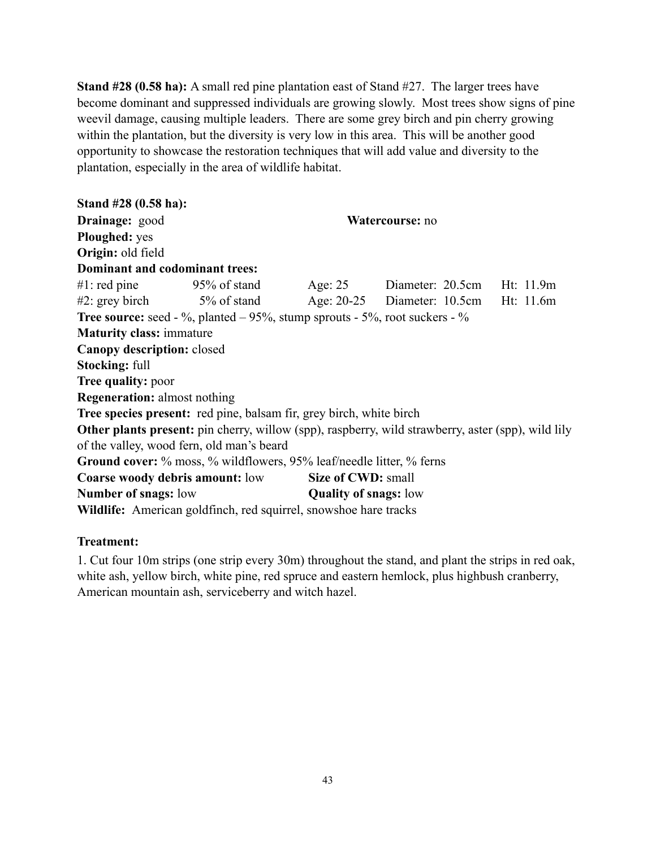**Stand #28 (0.58 ha):** A small red pine plantation east of Stand #27. The larger trees have become dominant and suppressed individuals are growing slowly. Most trees show signs of pine weevil damage, causing multiple leaders. There are some grey birch and pin cherry growing within the plantation, but the diversity is very low in this area. This will be another good opportunity to showcase the restoration techniques that will add value and diversity to the plantation, especially in the area of wildlife habitat.

**Stand #28 (0.58 ha): Drainage:** good **Watercourse:** no **Ploughed:** yes **Origin:** old field **Dominant and codominant trees:** #1: red pine 95% of stand Age: 25 Diameter: 20.5cm Ht: 11.9m #2: grey birch 5% of stand Age: 20-25 Diameter: 10.5cm Ht: 11.6m **Tree source:** seed - %, planted – 95%, stump sprouts - 5%, root suckers - % **Maturity class:** immature **Canopy description:** closed **Stocking:** full **Tree quality:** poor **Regeneration:** almost nothing **Tree species present:** red pine, balsam fir, grey birch, white birch **Other plants present:** pin cherry, willow (spp), raspberry, wild strawberry, aster (spp), wild lily of the valley, wood fern, old man's beard **Ground cover:** % moss, % wildflowers, 95% leaf/needle litter, % ferns **Coarse woody debris amount:** low **Size of CWD:** small **Number of snags:** low **Quality of snags:** low **Wildlife:** American goldfinch, red squirrel, snowshoe hare tracks

### **Treatment:**

1. Cut four 10m strips (one strip every 30m) throughout the stand, and plant the strips in red oak, white ash, yellow birch, white pine, red spruce and eastern hemlock, plus highbush cranberry, American mountain ash, serviceberry and witch hazel.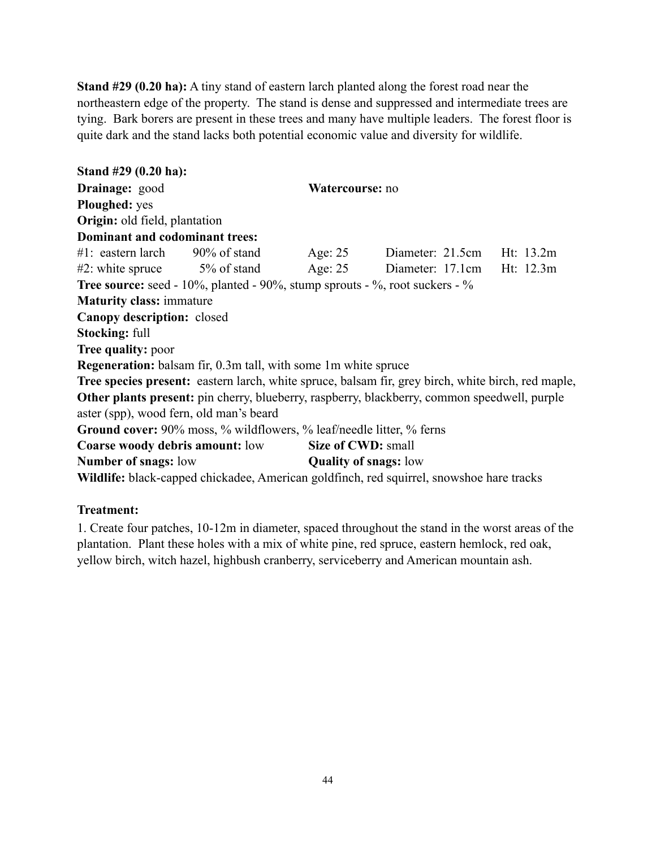**Stand #29 (0.20 ha):** A tiny stand of eastern larch planted along the forest road near the northeastern edge of the property. The stand is dense and suppressed and intermediate trees are tying. Bark borers are present in these trees and many have multiple leaders. The forest floor is quite dark and the stand lacks both potential economic value and diversity for wildlife.

**Stand #29 (0.20 ha): Drainage:** good **Watercourse:** no **Ploughed:** yes **Origin:** old field, plantation **Dominant and codominant trees:** #1: eastern larch 90% of stand Age: 25 Diameter: 21.5cm Ht: 13.2m #2: white spruce 5% of stand Age: 25 Diameter: 17.1cm Ht: 12.3m **Tree source:** seed - 10%, planted - 90%, stump sprouts - %, root suckers - % **Maturity class:** immature **Canopy description:** closed **Stocking:** full **Tree quality:** poor **Regeneration:** balsam fir, 0.3m tall, with some 1m white spruce **Tree species present:** eastern larch, white spruce, balsam fir, grey birch, white birch, red maple, **Other plants present:** pin cherry, blueberry, raspberry, blackberry, common speedwell, purple aster (spp), wood fern, old man's beard **Ground cover:** 90% moss, % wildflowers, % leaf/needle litter, % ferns **Coarse woody debris amount:** low **Size of CWD:** small **Number of snags:** low **Quality of snags:** low **Wildlife:** black-capped chickadee, American goldfinch, red squirrel, snowshoe hare tracks

### **Treatment:**

1. Create four patches, 10-12m in diameter, spaced throughout the stand in the worst areas of the plantation. Plant these holes with a mix of white pine, red spruce, eastern hemlock, red oak, yellow birch, witch hazel, highbush cranberry, serviceberry and American mountain ash.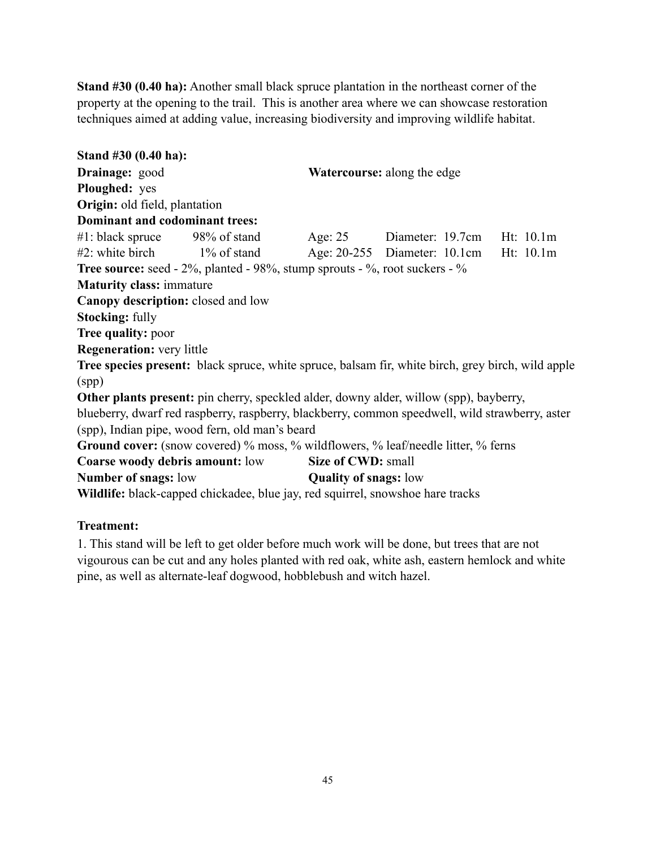**Stand #30 (0.40 ha):** Another small black spruce plantation in the northeast corner of the property at the opening to the trail. This is another area where we can showcase restoration techniques aimed at adding value, increasing biodiversity and improving wildlife habitat.

**Stand #30 (0.40 ha): Drainage:** good **Watercourse:** along the edge **Ploughed:** yes **Origin:** old field, plantation **Dominant and codominant trees:** #1: black spruce 98% of stand Age: 25 Diameter: 19.7cm Ht: 10.1m #2: white birch 1% of stand Age: 20-255 Diameter: 10.1cm Ht: 10.1m **Tree source:** seed - 2%, planted - 98%, stump sprouts - %, root suckers - % **Maturity class:** immature **Canopy description:** closed and low **Stocking:** fully **Tree quality:** poor **Regeneration:** very little **Tree species present:** black spruce, white spruce, balsam fir, white birch, grey birch, wild apple (spp) **Other plants present:** pin cherry, speckled alder, downy alder, willow (spp), bayberry, blueberry, dwarf red raspberry, raspberry, blackberry, common speedwell, wild strawberry, aster (spp), Indian pipe, wood fern, old man's beard Ground cover: (snow covered) % moss, % wildflowers, % leaf/needle litter, % ferns **Coarse woody debris amount:** low **Size of CWD:** small **Number of snags:** low **Quality of snags:** low **Wildlife:** black-capped chickadee, blue jay, red squirrel, snowshoe hare tracks

## **Treatment:**

1. This stand will be left to get older before much work will be done, but trees that are not vigourous can be cut and any holes planted with red oak, white ash, eastern hemlock and white pine, as well as alternate-leaf dogwood, hobblebush and witch hazel.